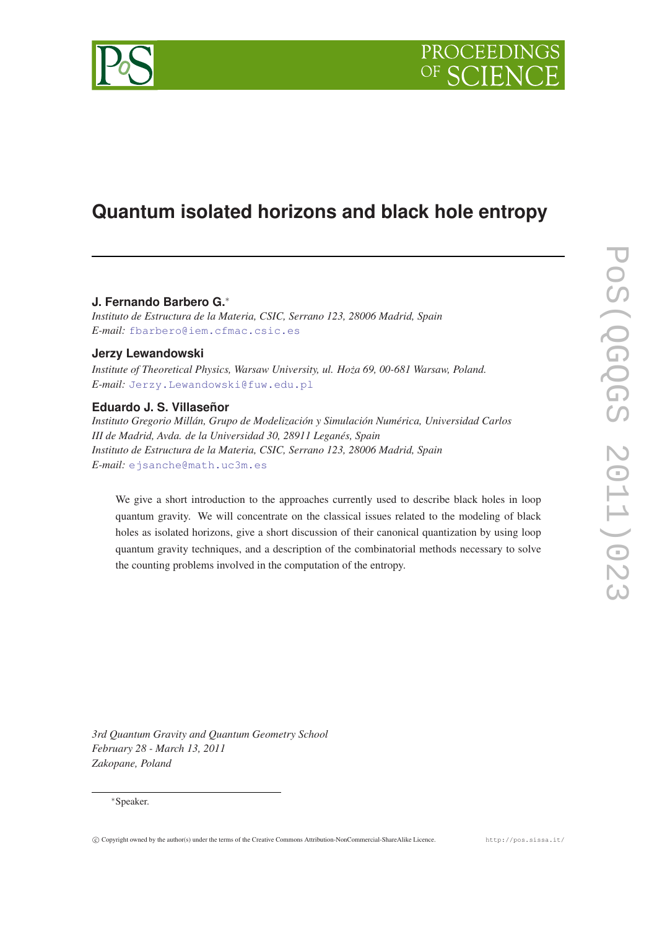

PROCEEDIN

# **Quantum isolated horizons and black hole entropy**

**J. Fernando Barbero G.**<sup>∗</sup>

*Instituto de Estructura de la Materia, CSIC, Serrano 123, 28006 Madrid, Spain E-mail:* [fbarbero@iem.cfmac.csic.es](mailto:fbarbero@iem.cfmac.csic.es)

# **Jerzy Lewandowski**

*Institute of Theoretical Physics, Warsaw University, ul. Hoza 69, 00-681 Warsaw, Poland. ˙ E-mail:* [Jerzy.Lewandowski@fuw.edu.pl](mailto:Jerzy.Lewandowski@fuw.edu.pl)

# **Eduardo J. S. Villaseñor**

*Instituto Gregorio Millán, Grupo de Modelización y Simulación Numérica, Universidad Carlos III de Madrid, Avda. de la Universidad 30, 28911 Leganés, Spain Instituto de Estructura de la Materia, CSIC, Serrano 123, 28006 Madrid, Spain E-mail:* [ejsanche@math.uc3m.es](mailto:ejsanche@math.uc3m.es)

We give a short introduction to the approaches currently used to describe black holes in loop quantum gravity. We will concentrate on the classical issues related to the modeling of black holes as isolated horizons, give a short discussion of their canonical quantization by using loop quantum gravity techniques, and a description of the combinatorial methods necessary to solve the counting problems involved in the computation of the entropy.

*3rd Quantum Gravity and Quantum Geometry School February 28 - March 13, 2011 Zakopane, Poland*

# <sup>∗</sup>Speaker.

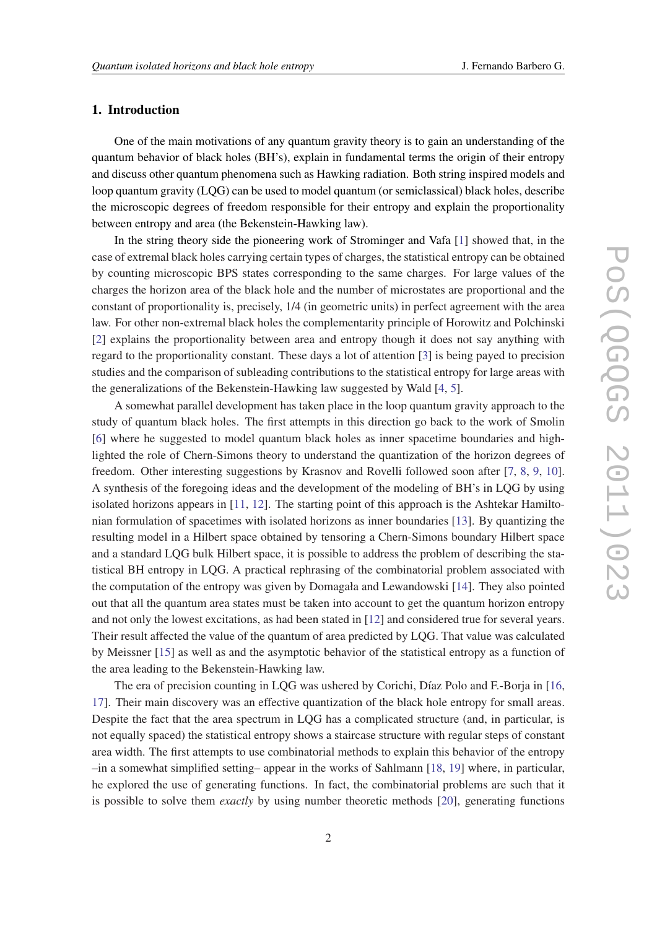# 1. Introduction

One of the main motivations of any quantum gravity theory is to gain an understanding of the quantum behavior of black holes (BH's), explain in fundamental terms the origin of their entropy and discuss other quantum phenomena such as Hawking radiation. Both string inspired models and loop quantum gravity (LQG) can be used to model quantum (or semiclassical) black holes, describe the microscopic degrees of freedom responsible for their entropy and explain the proportionality between entropy and area (the Bekenstein-Hawking law).

In the string theory side the pioneering work of Strominger and Vafa [[1](#page-25-0)] showed that, in the case of extremal black holes carrying certain types of charges, the statistical entropy can be obtained by counting microscopic BPS states corresponding to the same charges. For large values of the charges the horizon area of the black hole and the number of microstates are proportional and the constant of proportionality is, precisely, 1/4 (in geometric units) in perfect agreement with the area law. For other non-extremal black holes the complementarity principle of Horowitz and Polchinski [[2](#page-25-0)] explains the proportionality between area and entropy though it does not say anything with regard to the proportionality constant. These days a lot of attention [[3](#page-25-0)] is being payed to precision studies and the comparison of subleading contributions to the statistical entropy for large areas with the generalizations of the Bekenstein-Hawking law suggested by Wald [\[4,](#page-25-0) [5\]](#page-25-0).

A somewhat parallel development has taken place in the loop quantum gravity approach to the study of quantum black holes. The first attempts in this direction go back to the work of Smolin [[6](#page-25-0)] where he suggested to model quantum black holes as inner spacetime boundaries and highlighted the role of Chern-Simons theory to understand the quantization of the horizon degrees of freedom. Other interesting suggestions by Krasnov and Rovelli followed soon after [\[7,](#page-25-0) [8](#page-25-0), [9,](#page-25-0) [10\]](#page-25-0). A synthesis of the foregoing ideas and the development of the modeling of BH's in LQG by using isolated horizons appears in [[11,](#page-25-0) [12](#page-25-0)]. The starting point of this approach is the Ashtekar Hamiltonian formulation of spacetimes with isolated horizons as inner boundaries [\[13\]](#page-25-0). By quantizing the resulting model in a Hilbert space obtained by tensoring a Chern-Simons boundary Hilbert space and a standard LQG bulk Hilbert space, it is possible to address the problem of describing the statistical BH entropy in LQG. A practical rephrasing of the combinatorial problem associated with the computation of the entropy was given by Domagała and Lewandowski [\[14](#page-26-0)]. They also pointed out that all the quantum area states must be taken into account to get the quantum horizon entropy and not only the lowest excitations, as had been stated in [[12\]](#page-25-0) and considered true for several years. Their result affected the value of the quantum of area predicted by LQG. That value was calculated by Meissner [[15\]](#page-26-0) as well as and the asymptotic behavior of the statistical entropy as a function of the area leading to the Bekenstein-Hawking law.

The era of precision counting in LQG was ushered by Corichi, Díaz Polo and F.-Borja in [\[16](#page-26-0), [17](#page-26-0)]. Their main discovery was an effective quantization of the black hole entropy for small areas. Despite the fact that the area spectrum in LQG has a complicated structure (and, in particular, is not equally spaced) the statistical entropy shows a staircase structure with regular steps of constant area width. The first attempts to use combinatorial methods to explain this behavior of the entropy –in a somewhat simplified setting– appear in the works of Sahlmann [\[18](#page-26-0), [19\]](#page-26-0) where, in particular, he explored the use of generating functions. In fact, the combinatorial problems are such that it is possible to solve them *exactly* by using number theoretic methods [[20\]](#page-26-0), generating functions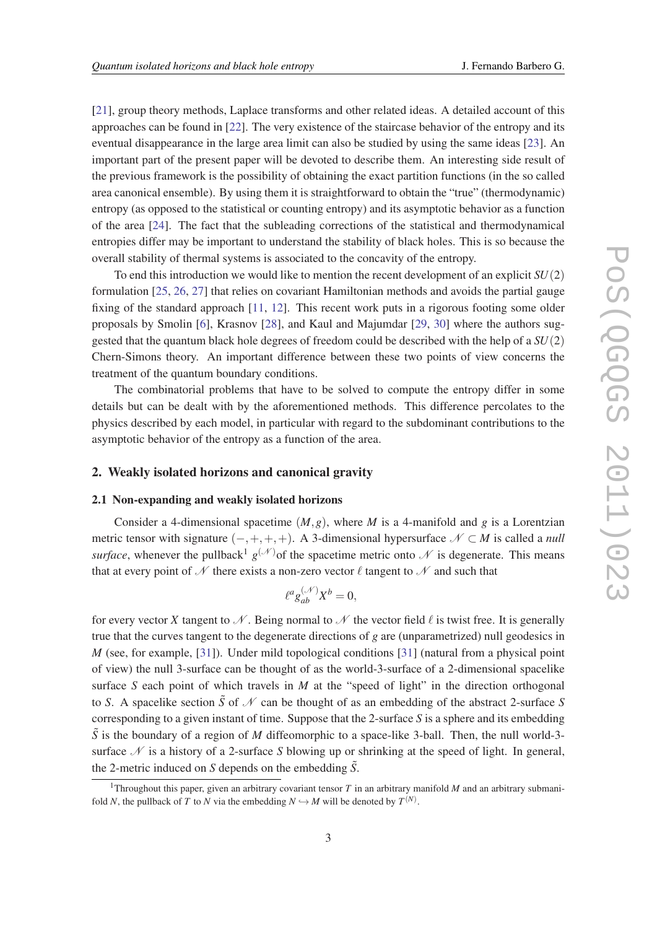[[21\]](#page-26-0), group theory methods, Laplace transforms and other related ideas. A detailed account of this approaches can be found in [[22\]](#page-26-0). The very existence of the staircase behavior of the entropy and its eventual disappearance in the large area limit can also be studied by using the same ideas [[23\]](#page-26-0). An important part of the present paper will be devoted to describe them. An interesting side result of the previous framework is the possibility of obtaining the exact partition functions (in the so called area canonical ensemble). By using them it is straightforward to obtain the "true" (thermodynamic) entropy (as opposed to the statistical or counting entropy) and its asymptotic behavior as a function of the area [\[24](#page-26-0)]. The fact that the subleading corrections of the statistical and thermodynamical entropies differ may be important to understand the stability of black holes. This is so because the overall stability of thermal systems is associated to the concavity of the entropy.

To end this introduction we would like to mention the recent development of an explicit *SU*(2) formulation [\[25](#page-26-0), [26](#page-26-0), [27\]](#page-26-0) that relies on covariant Hamiltonian methods and avoids the partial gauge fixing of the standard approach [[11,](#page-25-0) [12\]](#page-25-0). This recent work puts in a rigorous footing some older proposals by Smolin [\[6\]](#page-25-0), Krasnov [\[28](#page-26-0)], and Kaul and Majumdar [\[29](#page-26-0), [30](#page-26-0)] where the authors suggested that the quantum black hole degrees of freedom could be described with the help of a *SU*(2) Chern-Simons theory. An important difference between these two points of view concerns the treatment of the quantum boundary conditions.

The combinatorial problems that have to be solved to compute the entropy differ in some details but can be dealt with by the aforementioned methods. This difference percolates to the physics described by each model, in particular with regard to the subdominant contributions to the asymptotic behavior of the entropy as a function of the area.

### 2. Weakly isolated horizons and canonical gravity

#### 2.1 Non-expanding and weakly isolated horizons

Consider a 4-dimensional spacetime  $(M, g)$ , where *M* is a 4-manifold and *g* is a Lorentzian metric tensor with signature  $(-,+,+,+)$ . A 3-dimensional hypersurface  $N \subset M$  is called a *null surface*, whenever the pullback<sup>1</sup>  $g^{(\mathcal{N})}$  of the spacetime metric onto  $\mathcal N$  is degenerate. This means that at every point of  $\mathcal N$  there exists a non-zero vector  $\ell$  tangent to  $\mathcal N$  and such that

$$
\ell^a g_{ab}^{(\mathcal{N})} X^b = 0,
$$

for every vector X tangent to N. Being normal to N the vector field  $\ell$  is twist free. It is generally true that the curves tangent to the degenerate directions of *g* are (unparametrized) null geodesics in *M* (see, for example, [\[31](#page-26-0)]). Under mild topological conditions [[31\]](#page-26-0) (natural from a physical point of view) the null 3-surface can be thought of as the world-3-surface of a 2-dimensional spacelike surface *S* each point of which travels in *M* at the "speed of light" in the direction orthogonal to *S*. A spacelike section  $\tilde{S}$  of  $\mathcal N$  can be thought of as an embedding of the abstract 2-surface *S* corresponding to a given instant of time. Suppose that the 2-surface *S* is a sphere and its embedding  $\tilde{S}$  is the boundary of a region of *M* diffeomorphic to a space-like 3-ball. Then, the null world-3surface  $\mathcal N$  is a history of a 2-surface *S* blowing up or shrinking at the speed of light. In general, the 2-metric induced on *S* depends on the embedding  $\tilde{S}$ .

<sup>&</sup>lt;sup>1</sup>Throughout this paper, given an arbitrary covariant tensor  $T$  in an arbitrary manifold  $M$  and an arbitrary submanifold *N*, the pullback of *T* to *N* via the embedding  $N \hookrightarrow M$  will be denoted by  $T^{(N)}$ .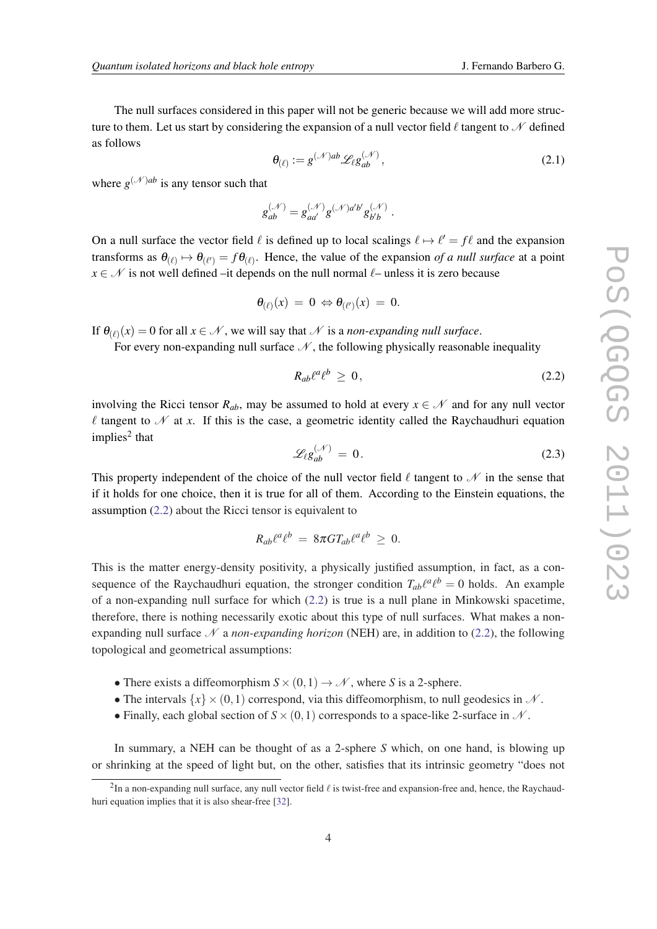<span id="page-3-0"></span>The null surfaces considered in this paper will not be generic because we will add more structure to them. Let us start by considering the expansion of a null vector field  $\ell$  tangent to  $\mathcal N$  defined as follows

$$
\boldsymbol{\theta}_{(\ell)} := g^{(\mathcal{N})ab} \mathcal{L}_{\ell} g_{ab}^{(\mathcal{N})},\tag{2.1}
$$

where  $g^{(\mathcal{N})ab}$  is any tensor such that

$$
g^{(\mathcal{N})}_{ab}=g^{(\mathcal{N})}_{aa'}g^{(\mathcal{N})a'b'}g^{(\mathcal{N})}_{b'b}\;.
$$

On a null surface the vector field  $\ell$  is defined up to local scalings  $\ell \mapsto \ell' = f\ell$  and the expansion transforms as  $\theta_{(\ell)} \mapsto \theta_{(\ell')} = f \theta_{(\ell)}$ . Hence, the value of the expansion *of a null surface* at a point  $x \in \mathcal{N}$  is not well defined –it depends on the null normal  $\ell$ – unless it is zero because

$$
\theta_{(\ell)}(x) = 0 \Leftrightarrow \theta_{(\ell')}(x) = 0.
$$

If  $\theta_{(\ell)}(x) = 0$  for all  $x \in \mathcal{N}$ , we will say that  $\mathcal N$  is a *non-expanding null surface*.

For every non-expanding null surface  $\mathcal N$ , the following physically reasonable inequality

$$
R_{ab}\ell^a\ell^b \geq 0,\tag{2.2}
$$

involving the Ricci tensor  $R_{ab}$ , may be assumed to hold at every  $x \in \mathcal{N}$  and for any null vector  $\ell$  tangent to  $\mathscr N$  at *x*. If this is the case, a geometric identity called the Raychaudhuri equation implies<sup>2</sup> that

$$
\mathcal{L}_{\ell}g_{ab}^{(\mathcal{N})}=0.\tag{2.3}
$$

This property independent of the choice of the null vector field  $\ell$  tangent to  $\mathcal N$  in the sense that if it holds for one choice, then it is true for all of them. According to the Einstein equations, the assumption (2.2) about the Ricci tensor is equivalent to

$$
R_{ab}\ell^a\ell^b = 8\pi G T_{ab}\ell^a\ell^b \geq 0.
$$

This is the matter energy-density positivity, a physically justified assumption, in fact, as a consequence of the Raychaudhuri equation, the stronger condition  $T_{ab}\ell^a\ell^b = 0$  holds. An example of a non-expanding null surface for which (2.2) is true is a null plane in Minkowski spacetime, therefore, there is nothing necessarily exotic about this type of null surfaces. What makes a nonexpanding null surface  $\mathcal N$  a *non-expanding horizon* (NEH) are, in addition to (2.2), the following topological and geometrical assumptions:

- There exists a diffeomorphism  $S \times (0,1) \rightarrow \mathcal{N}$ , where *S* is a 2-sphere.
- The intervals  $\{x\} \times (0,1)$  correspond, via this diffeomorphism, to null geodesics in N.
- Finally, each global section of  $S \times (0,1)$  corresponds to a space-like 2-surface in  $N$ .

In summary, a NEH can be thought of as a 2-sphere *S* which, on one hand, is blowing up or shrinking at the speed of light but, on the other, satisfies that its intrinsic geometry "does not

 ${}^{2}$ In a non-expanding null surface, any null vector field  $\ell$  is twist-free and expansion-free and, hence, the Raychaudhuri equation implies that it is also shear-free [[32](#page-26-0)].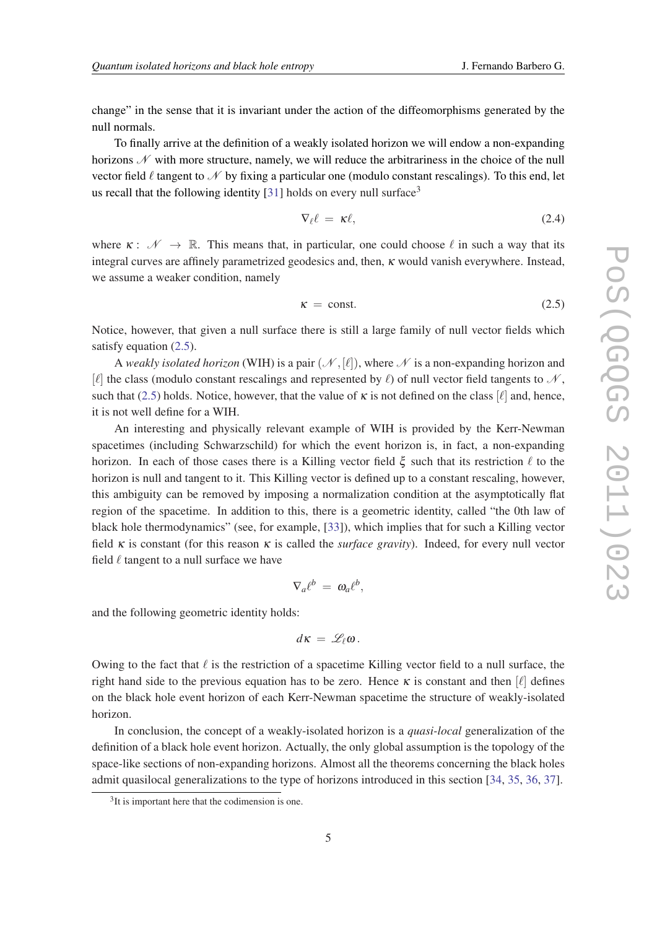change" in the sense that it is invariant under the action of the diffeomorphisms generated by the null normals.

To finally arrive at the definition of a weakly isolated horizon we will endow a non-expanding horizons  $\mathscr N$  with more structure, namely, we will reduce the arbitrariness in the choice of the null vector field  $\ell$  tangent to  $\mathcal N$  by fixing a particular one (modulo constant rescalings). To this end, let us recall that the following identity  $[31]$  $[31]$  holds on every null surface<sup>3</sup>

$$
\nabla_{\ell} \ell = \kappa \ell, \tag{2.4}
$$

where  $\kappa: \mathscr{N} \to \mathbb{R}$ . This means that, in particular, one could choose  $\ell$  in such a way that its integral curves are affinely parametrized geodesics and, then, κ would vanish everywhere. Instead, we assume a weaker condition, namely

$$
\kappa = \text{const.} \tag{2.5}
$$

Notice, however, that given a null surface there is still a large family of null vector fields which satisfy equation (2.5).

A *weakly isolated horizon* (WIH) is a pair  $(\mathcal{N},[\ell])$ , where  $\mathcal N$  is a non-expanding horizon and  $[\ell]$  the class (modulo constant rescalings and represented by  $\ell$ ) of null vector field tangents to  $\mathcal{N}$ , such that (2.5) holds. Notice, however, that the value of  $\kappa$  is not defined on the class [ $\ell$ ] and, hence, it is not well define for a WIH.

An interesting and physically relevant example of WIH is provided by the Kerr-Newman spacetimes (including Schwarzschild) for which the event horizon is, in fact, a non-expanding horizon. In each of those cases there is a Killing vector field  $\xi$  such that its restriction  $\ell$  to the horizon is null and tangent to it. This Killing vector is defined up to a constant rescaling, however, this ambiguity can be removed by imposing a normalization condition at the asymptotically flat region of the spacetime. In addition to this, there is a geometric identity, called "the 0th law of black hole thermodynamics" (see, for example, [\[33\]](#page-26-0)), which implies that for such a Killing vector field  $\kappa$  is constant (for this reason  $\kappa$  is called the *surface gravity*). Indeed, for every null vector field  $\ell$  tangent to a null surface we have

$$
\nabla_a \ell^b = \omega_a \ell^b,
$$

and the following geometric identity holds:

$$
d\kappa=\mathscr{L}_{\ell}\omega.
$$

Owing to the fact that  $\ell$  is the restriction of a spacetime Killing vector field to a null surface, the right hand side to the previous equation has to be zero. Hence  $\kappa$  is constant and then  $[\ell]$  defines on the black hole event horizon of each Kerr-Newman spacetime the structure of weakly-isolated horizon.

In conclusion, the concept of a weakly-isolated horizon is a *quasi-local* generalization of the definition of a black hole event horizon. Actually, the only global assumption is the topology of the space-like sections of non-expanding horizons. Almost all the theorems concerning the black holes admit quasilocal generalizations to the type of horizons introduced in this section [[34,](#page-26-0) [35](#page-26-0), [36,](#page-26-0) [37\]](#page-26-0).

<sup>&</sup>lt;sup>3</sup>It is important here that the codimension is one.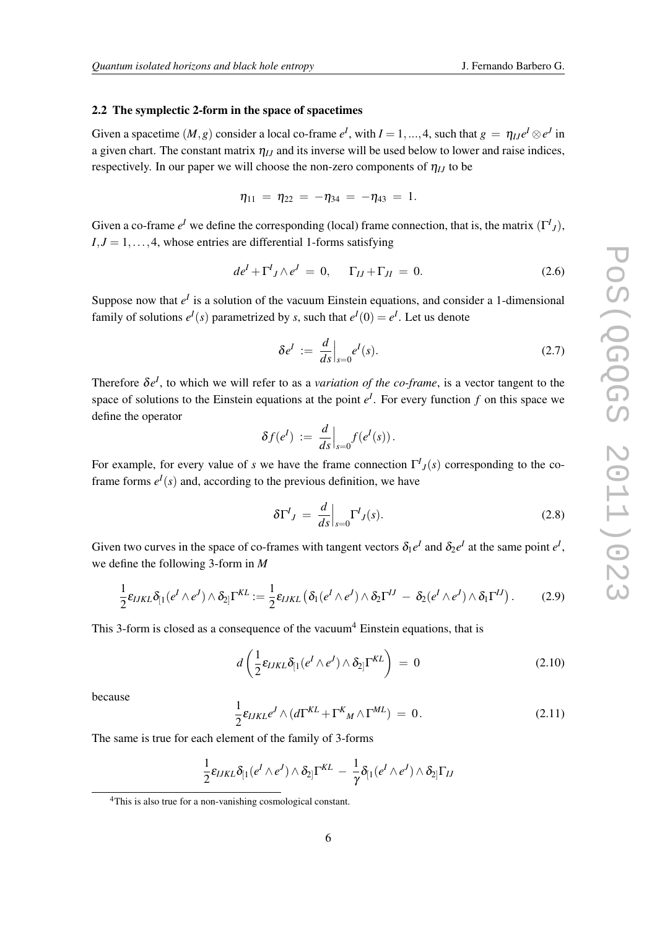#### <span id="page-5-0"></span>2.2 The symplectic 2-form in the space of spacetimes

Given a spacetime  $(M, g)$  consider a local co-frame  $e^I$ , with  $I = 1, ..., 4$ , such that  $g = \eta_{IJ}e^I \otimes e^J$  in a given chart. The constant matrix  $\eta_{IJ}$  and its inverse will be used below to lower and raise indices, respectively. In our paper we will choose the non-zero components of  $\eta_{IJ}$  to be

$$
\eta_{11} = \eta_{22} = -\eta_{34} = -\eta_{43} = 1.
$$

Given a co-frame  $e^I$  we define the corresponding (local) frame connection, that is, the matrix  $(\Gamma^I)_j$ ,  $I, J = 1, \ldots, 4$ , whose entries are differential 1-forms satisfying

$$
de^{I} + \Gamma^{I}{}_{J} \wedge e^{J} = 0, \quad \Gamma_{IJ} + \Gamma_{JI} = 0. \tag{2.6}
$$

Suppose now that  $e^I$  is a solution of the vacuum Einstein equations, and consider a 1-dimensional family of solutions  $e^{I}(s)$  parametrized by *s*, such that  $e^{I}(0) = e^{I}$ . Let us denote

$$
\delta e^I := \left. \frac{d}{ds} \right|_{s=0} e^I(s). \tag{2.7}
$$

Therefore  $\delta e^{I}$ , to which we will refer to as a *variation of the co-frame*, is a vector tangent to the space of solutions to the Einstein equations at the point  $e^I$ . For every function  $f$  on this space we define the operator

$$
\delta f(e^I) := \frac{d}{ds}\Big|_{s=0} f(e^I(s))\,.
$$

For example, for every value of *s* we have the frame connection  $\Gamma^{I}{}_{J}(s)$  corresponding to the coframe forms  $e^{I}(s)$  and, according to the previous definition, we have

$$
\delta \Gamma^I{}_J = \frac{d}{ds} \Big|_{s=0} \Gamma^I{}_J(s). \tag{2.8}
$$

Given two curves in the space of co-frames with tangent vectors  $\delta_1 e^I$  and  $\delta_2 e^I$  at the same point  $e^I$ , we define the following 3-form in *M*

$$
\frac{1}{2}\varepsilon_{IJKL}\delta_{[1}(e^I\wedge e^J)\wedge \delta_{2]} \Gamma^{KL} := \frac{1}{2}\varepsilon_{IJKL} \left( \delta_1(e^I\wedge e^J)\wedge \delta_2 \Gamma^{IJ} - \delta_2(e^I\wedge e^J)\wedge \delta_1 \Gamma^{IJ} \right).
$$
 (2.9)

This 3-form is closed as a consequence of the vacuum<sup>4</sup> Einstein equations, that is

$$
d\left(\frac{1}{2}\varepsilon_{IJKL}\delta_{[1}(e^I\wedge e^J)\wedge \delta_{2]} \Gamma^{KL}\right) = 0
$$
\n(2.10)

because

$$
\frac{1}{2}\varepsilon_{IJKL}e^J \wedge (d\Gamma^{KL} + \Gamma^K{}_M \wedge \Gamma^{ML}) = 0.
$$
\n(2.11)

The same is true for each element of the family of 3-forms

$$
\frac{1}{2}\varepsilon_{IJKL}\delta_{[1}(e^I\wedge e^J)\wedge \delta_{2]}\Gamma^{KL} - \frac{1}{\gamma}\delta_{[1}(e^I\wedge e^J)\wedge \delta_{2]}\Gamma_{IJ}
$$

<sup>4</sup>This is also true for a non-vanishing cosmological constant.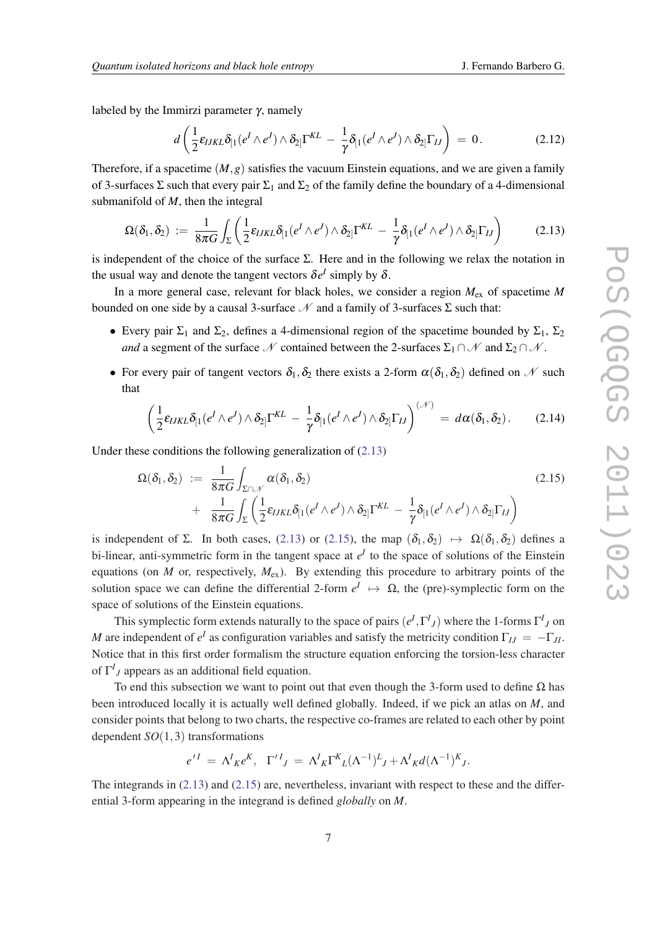<span id="page-6-0"></span>labeled by the Immirzi parameter  $\gamma$ , namely

$$
d\left(\frac{1}{2}\varepsilon_{IJKL}\delta_{[1}(e^I\wedge e^J)\wedge \delta_{2]} \Gamma^{KL} - \frac{1}{\gamma}\delta_{[1}(e^I\wedge e^J)\wedge \delta_{2]} \Gamma_{IJ}\right) = 0. \qquad (2.12)
$$

Therefore, if a spacetime  $(M, g)$  satisfies the vacuum Einstein equations, and we are given a family of 3-surfaces  $\Sigma$  such that every pair  $\Sigma_1$  and  $\Sigma_2$  of the family define the boundary of a 4-dimensional submanifold of *M*, then the integral

$$
\Omega(\delta_1,\delta_2) := \frac{1}{8\pi G} \int_{\Sigma} \left( \frac{1}{2} \varepsilon_{IJKL} \delta_{[1}(e^I \wedge e^J) \wedge \delta_{2]} \Gamma^{KL} - \frac{1}{\gamma} \delta_{[1}(e^I \wedge e^J) \wedge \delta_{2]} \Gamma_{IJ} \right) \tag{2.13}
$$

is independent of the choice of the surface  $\Sigma$ . Here and in the following we relax the notation in the usual way and denote the tangent vectors  $\delta e^{I}$  simply by  $\delta$ .

In a more general case, relevant for black holes, we consider a region  $M_{ex}$  of spacetime M bounded on one side by a causal 3-surface  $\mathcal N$  and a family of 3-surfaces  $\Sigma$  such that:

- Every pair  $\Sigma_1$  and  $\Sigma_2$ , defines a 4-dimensional region of the spacetime bounded by  $\Sigma_1$ ,  $\Sigma_2$ *and* a segment of the surface N contained between the 2-surfaces  $\Sigma_1 \cap N$  and  $\Sigma_2 \cap N$ .
- For every pair of tangent vectors  $\delta_1, \delta_2$  there exists a 2-form  $\alpha(\delta_1, \delta_2)$  defined on N such that

$$
\left(\frac{1}{2}\varepsilon_{IJKL}\delta_{[1}(e^I\wedge e^J)\wedge \delta_{2]} \Gamma^{KL} - \frac{1}{\gamma}\delta_{[1}(e^I\wedge e^J)\wedge \delta_{2]} \Gamma_{IJ}\right)^{(\mathscr{N})} = d\alpha(\delta_1,\delta_2). \tag{2.14}
$$

Under these conditions the following generalization of (2.13)

$$
\Omega(\delta_1, \delta_2) := \frac{1}{8\pi G} \int_{\Sigma \cap \mathcal{N}} \alpha(\delta_1, \delta_2) \n+ \frac{1}{8\pi G} \int_{\Sigma} \left( \frac{1}{2} \varepsilon_{IJKL} \delta_{[1}(e^I \wedge e^J) \wedge \delta_{2]} \Gamma^{KL} - \frac{1}{\gamma} \delta_{[1}(e^I \wedge e^J) \wedge \delta_{2]} \Gamma_{IJ} \right)
$$
\n(2.15)

is independent of Σ. In both cases, (2.13) or (2.15), the map  $(\delta_1, \delta_2) \rightarrow \Omega(\delta_1, \delta_2)$  defines a bi-linear, anti-symmetric form in the tangent space at  $e<sup>I</sup>$  to the space of solutions of the Einstein equations (on *M* or, respectively,  $M_{ex}$ ). By extending this procedure to arbitrary points of the solution space we can define the differential 2-form  $e^I \mapsto \Omega$ , the (pre)-symplectic form on the space of solutions of the Einstein equations.

This symplectic form extends naturally to the space of pairs  $(e^I, \Gamma^I{}_J)$  where the 1-forms  $\Gamma^I{}_J$  on *M* are independent of  $e^I$  as configuration variables and satisfy the metricity condition  $\Gamma_{IJ} = -\Gamma_{JI}$ . Notice that in this first order formalism the structure equation enforcing the torsion-less character of  $\Gamma^I_J$  appears as an additional field equation.

To end this subsection we want to point out that even though the 3-form used to define  $\Omega$  has been introduced locally it is actually well defined globally. Indeed, if we pick an atlas on *M*, and consider points that belong to two charts, the respective co-frames are related to each other by point dependent *SO*(1,3) transformations

$$
e^{\prime I} = \Lambda^I K e^K, \ \Gamma^{\prime I} J = \Lambda^I K \Gamma^K L (\Lambda^{-1})^L J + \Lambda^I K d (\Lambda^{-1})^K J.
$$

The integrands in (2.13) and (2.15) are, nevertheless, invariant with respect to these and the differential 3-form appearing in the integrand is defined *globally* on *M*.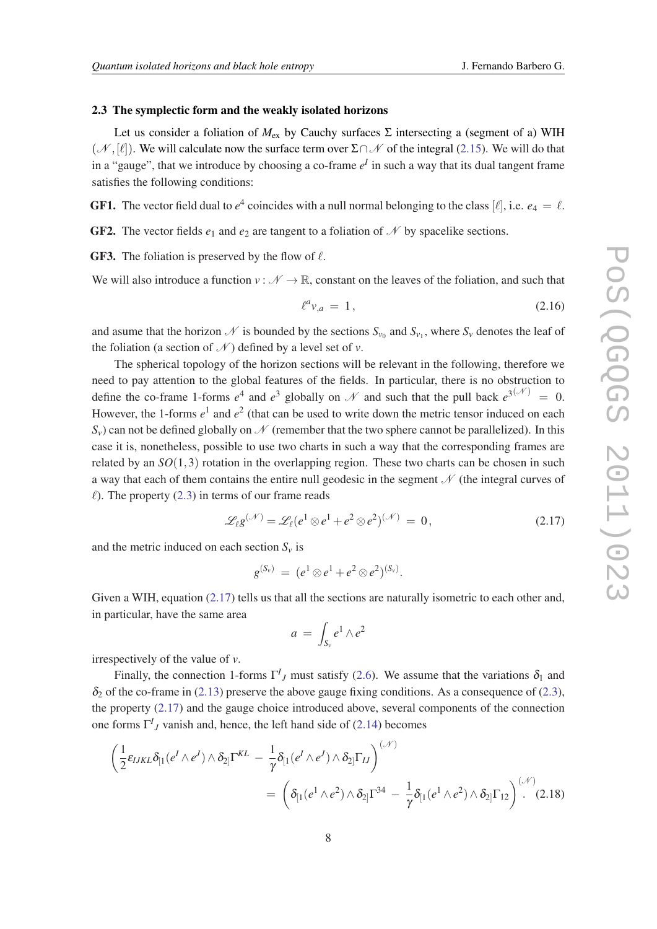#### <span id="page-7-0"></span>2.3 The symplectic form and the weakly isolated horizons

Let us consider a foliation of *M*ex by Cauchy surfaces Σ intersecting a (segment of a) WIH  $(\mathcal{N}, [\ell])$ . We will calculate now the surface term over  $\Sigma \cap \mathcal{N}$  of the integral [\(2.15](#page-6-0)). We will do that in a "gauge", that we introduce by choosing a co-frame  $e^I$  in such a way that its dual tangent frame satisfies the following conditions:

**GF1.** The vector field dual to  $e^4$  coincides with a null normal belonging to the class [ $\ell$ ], i.e.  $e_4 = \ell$ .

**GF2.** The vector fields  $e_1$  and  $e_2$  are tangent to a foliation of  $\mathcal N$  by spacelike sections.

**GF3.** The foliation is preserved by the flow of  $\ell$ .

We will also introduce a function  $v : \mathcal{N} \to \mathbb{R}$ , constant on the leaves of the foliation, and such that

$$
\ell^a v_{,a} = 1, \tag{2.16}
$$

and asume that the horizon  $N$  is bounded by the sections  $S_{v_0}$  and  $S_{v_1}$ , where  $S_v$  denotes the leaf of the foliation (a section of  $\mathcal N$ ) defined by a level set of  $\nu$ .

The spherical topology of the horizon sections will be relevant in the following, therefore we need to pay attention to the global features of the fields. In particular, there is no obstruction to define the co-frame 1-forms  $e^4$  and  $e^3$  globally on N and such that the pull back  $e^{3(\mathcal{N})} = 0$ . However, the 1-forms  $e^1$  and  $e^2$  (that can be used to write down the metric tensor induced on each  $S_v$ ) can not be defined globally on  $\mathcal N$  (remember that the two sphere cannot be parallelized). In this case it is, nonetheless, possible to use two charts in such a way that the corresponding frames are related by an  $SO(1,3)$  rotation in the overlapping region. These two charts can be chosen in such a way that each of them contains the entire null geodesic in the segment  $\mathcal N$  (the integral curves of  $\ell$ ). The property ([2.3](#page-3-0)) in terms of our frame reads

$$
\mathscr{L}_{\ell} g^{(\mathscr{N})} = \mathscr{L}_{\ell} (e^1 \otimes e^1 + e^2 \otimes e^2)^{(\mathscr{N})} = 0, \qquad (2.17)
$$

and the metric induced on each section  $S_v$  is

$$
g^{(S_v)} = (e^1 \otimes e^1 + e^2 \otimes e^2)^{(S_v)}.
$$

Given a WIH, equation (2.17) tells us that all the sections are naturally isometric to each other and, in particular, have the same area

$$
a = \int_{S_v} e^1 \wedge e^2
$$

irrespectively of the value of *v*.

Finally, the connection 1-forms  $\Gamma^I_{\,J}$  must satisfy [\(2.6\)](#page-5-0). We assume that the variations  $\delta_1$  and  $\delta_2$  of the co-frame in ([2.13\)](#page-6-0) preserve the above gauge fixing conditions. As a consequence of ([2.3\)](#page-3-0), the property (2.17) and the gauge choice introduced above, several components of the connection one forms  $\Gamma^I_J$  vanish and, hence, the left hand side of [\(2.14](#page-6-0)) becomes

$$
\begin{split} \left(\frac{1}{2}\varepsilon_{IJKL}\delta_{[1}(e^I\wedge e^J)\wedge \delta_{2]} \Gamma^{KL} - \frac{1}{\gamma}\delta_{[1}(e^I\wedge e^J)\wedge \delta_{2]} \Gamma_{IJ}\right)^{(\mathcal{N})} \\ &= \left(\delta_{[1}(e^1\wedge e^2)\wedge \delta_{2]} \Gamma^{34} - \frac{1}{\gamma}\delta_{[1}(e^1\wedge e^2)\wedge \delta_{2]} \Gamma_{12}\right)^{(\mathcal{N})} . \end{split} \tag{2.18}
$$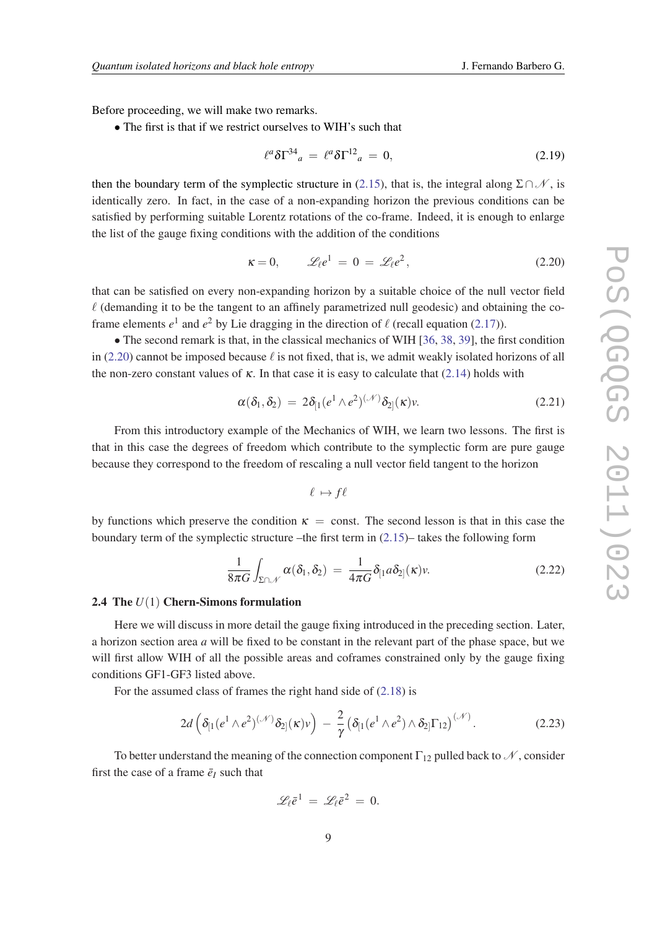<span id="page-8-0"></span>Before proceeding, we will make two remarks.

• The first is that if we restrict ourselves to WIH's such that

$$
\ell^a \delta \Gamma^{34}{}_a = \ell^a \delta \Gamma^{12}{}_a = 0, \tag{2.19}
$$

then the boundary term of the symplectic structure in ([2.15\)](#page-6-0), that is, the integral along  $\Sigma \cap \mathcal{N}$ , is identically zero. In fact, in the case of a non-expanding horizon the previous conditions can be satisfied by performing suitable Lorentz rotations of the co-frame. Indeed, it is enough to enlarge the list of the gauge fixing conditions with the addition of the conditions

$$
\kappa = 0, \qquad \mathcal{L}_{\ell} e^1 = 0 = \mathcal{L}_{\ell} e^2, \qquad (2.20)
$$

that can be satisfied on every non-expanding horizon by a suitable choice of the null vector field  $\ell$  (demanding it to be the tangent to an affinely parametrized null geodesic) and obtaining the coframe elements  $e^1$  and  $e^2$  by Lie dragging in the direction of  $\ell$  (recall equation [\(2.17](#page-7-0))).

• The second remark is that, in the classical mechanics of WIH [\[36](#page-26-0), [38](#page-26-0), [39](#page-26-0)], the first condition in (2.20) cannot be imposed because  $\ell$  is not fixed, that is, we admit weakly isolated horizons of all the non-zero constant values of  $\kappa$ . In that case it is easy to calculate that ([2.14\)](#page-6-0) holds with

$$
\alpha(\delta_1, \delta_2) = 2\delta_{[1}(e^1 \wedge e^2)^{(\mathcal{N})}\delta_{2]}(\kappa)\nu. \tag{2.21}
$$

From this introductory example of the Mechanics of WIH, we learn two lessons. The first is that in this case the degrees of freedom which contribute to the symplectic form are pure gauge because they correspond to the freedom of rescaling a null vector field tangent to the horizon

$$
\ell \mapsto f\ell
$$

by functions which preserve the condition  $\kappa$  = const. The second lesson is that in this case the boundary term of the symplectic structure –the first term in  $(2.15)$  $(2.15)$ – takes the following form

$$
\frac{1}{8\pi G}\int_{\Sigma\cap\mathscr{N}}\alpha(\delta_1,\delta_2) = \frac{1}{4\pi G}\delta_{[1}a\delta_{2]}(\kappa)\nu.
$$
 (2.22)

#### 2.4 The *U*(1) Chern-Simons formulation

Here we will discuss in more detail the gauge fixing introduced in the preceding section. Later, a horizon section area *a* will be fixed to be constant in the relevant part of the phase space, but we will first allow WIH of all the possible areas and coframes constrained only by the gauge fixing conditions GF1-GF3 listed above.

For the assumed class of frames the right hand side of ([2.18](#page-7-0)) is

$$
2d\left(\delta_{[1}(e^1\wedge e^2)^{(\mathcal{N})}\delta_{2]}(\kappa)v\right) - \frac{2}{\gamma}\left(\delta_{[1}(e^1\wedge e^2)\wedge \delta_{2]}\Gamma_{12}\right)^{(\mathcal{N})}.
$$
 (2.23)

To better understand the meaning of the connection component  $\Gamma_{12}$  pulled back to  $\mathcal{N}$ , consider first the case of a frame  $\bar{e}_I$  such that

$$
\mathscr{L}_{\ell} \bar{e}^1 = \mathscr{L}_{\ell} \bar{e}^2 = 0.
$$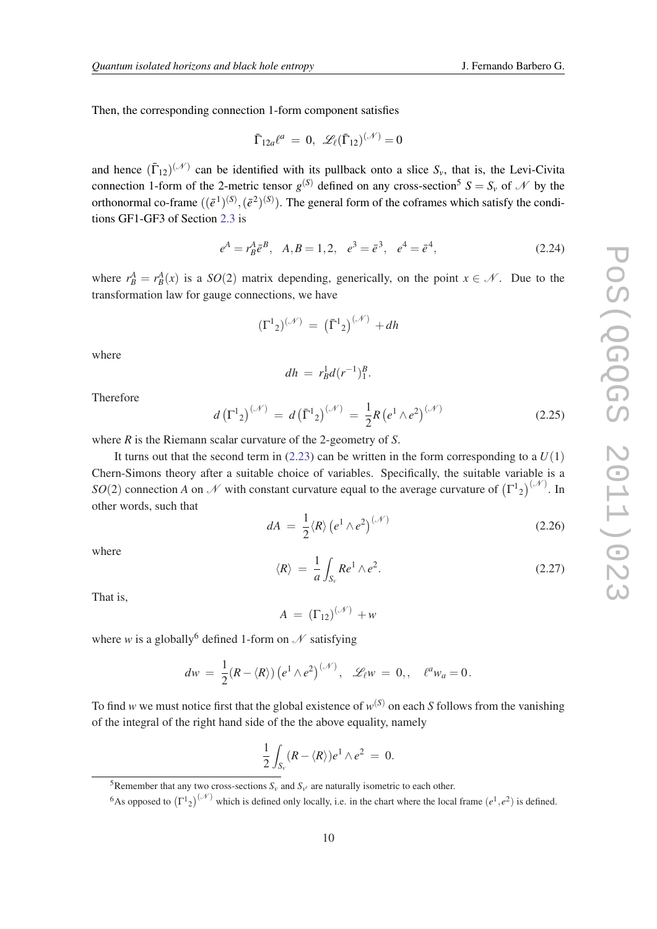Then, the corresponding connection 1-form component satisfies

$$
\bar{\Gamma}_{12a}\ell^a = 0, \ \mathscr{L}_\ell(\bar{\Gamma}_{12})^{(\mathscr{N})} = 0
$$

and hence  $(\bar{\Gamma}_{12})^{(\mathcal{N})}$  can be identified with its pullback onto a slice  $S_\nu$ , that is, the Levi-Civita connection 1-form of the 2-metric tensor  $g^{(S)}$  defined on any cross-section<sup>5</sup>  $S = S_v$  of N by the orthonormal co-frame  $((\bar{e}^1)^{(S)}, (\bar{e}^2)^{(S)})$ . The general form of the coframes which satisfy the conditions GF1-GF3 of Section [2.3](#page-7-0) is

$$
e^A = r_B^A \bar{e}^B
$$
,  $A, B = 1, 2$ ,  $e^3 = \bar{e}^3$ ,  $e^4 = \bar{e}^4$ , (2.24)

where  $r_B^A = r_B^A(x)$  is a  $SO(2)$  matrix depending, generically, on the point  $x \in \mathcal{N}$ . Due to the transformation law for gauge connections, we have

$$
(\Gamma^1{}_2)^{(\mathcal{N})} = (\bar{\Gamma}^1{}_2)^{(\mathcal{N})} + dh
$$

where

$$
dh = r_B^1 d(r^{-1})_1^B.
$$

Therefore

$$
d\left(\Gamma^{1}_{2}\right)^{(\mathcal{N})} = d\left(\bar{\Gamma}^{1}_{2}\right)^{(\mathcal{N})} = \frac{1}{2}R\left(e^{1}\wedge e^{2}\right)^{(\mathcal{N})} \tag{2.25}
$$

where *R* is the Riemann scalar curvature of the 2-geometry of *S*.

It turns out that the second term in  $(2.23)$  $(2.23)$  can be written in the form corresponding to a  $U(1)$ Chern-Simons theory after a suitable choice of variables. Specifically, the suitable variable is a *SO*(2) connection *A* on *N* with constant curvature equal to the average curvature of  $(\Gamma^1{}_2)^{(\mathcal{N})}$ . In other words, such that

$$
dA = \frac{1}{2} \langle R \rangle \left( e^1 \wedge e^2 \right)^{(\mathcal{N})} \tag{2.26}
$$

where

$$
\langle R \rangle = \frac{1}{a} \int_{S_v} Re^1 \wedge e^2. \tag{2.27}
$$

That is,

$$
A = (\Gamma_{12})^{(\mathcal{N})} + w
$$

where *w* is a globally<sup>6</sup> defined 1-form on  $\mathcal N$  satisfying

$$
dw = \frac{1}{2}(R - \langle R \rangle) (e^1 \wedge e^2)^{(\mathcal{N})}, \quad \mathscr{L}_{\ell}w = 0, \quad \ell^a w_a = 0.
$$

To find *w* we must notice first that the global existence of  $w^{(S)}$  on each *S* follows from the vanishing of the integral of the right hand side of the the above equality, namely

$$
\frac{1}{2}\int_{S_v} (R - \langle R \rangle)e^1 \wedge e^2 = 0.
$$

<sup>&</sup>lt;sup>5</sup>Remember that any two cross-sections  $S_v$  and  $S_{v'}$  are naturally isometric to each other.

<sup>&</sup>lt;sup>6</sup>As opposed to  $(\Gamma^1{}_2)^{(\mathcal{N})}$  which is defined only locally, i.e. in the chart where the local frame  $(e^1, e^2)$  is defined.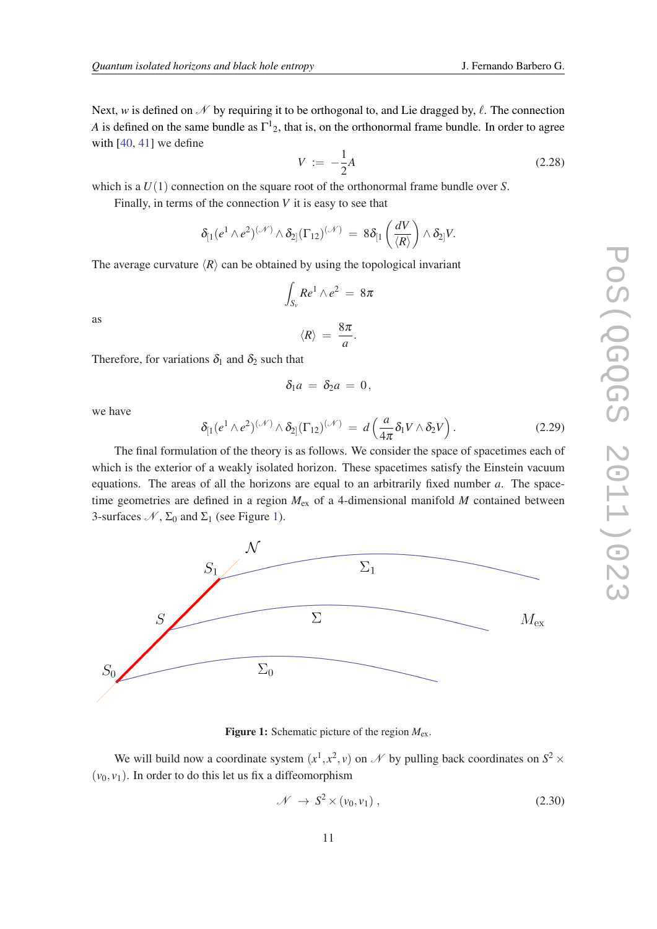<span id="page-10-0"></span>Next, w is defined on  $\mathcal N$  by requiring it to be orthogonal to, and Lie dragged by,  $\ell$ . The connection *A* is defined on the same bundle as  $\Gamma^1_{2}$ , that is, on the orthonormal frame bundle. In order to agree with [\[40](#page-26-0), [41](#page-26-0)] we define

$$
V := -\frac{1}{2}A\tag{2.28}
$$

which is a *U*(1) connection on the square root of the orthonormal frame bundle over *S*.

Finally, in terms of the connection *V* it is easy to see that

$$
\delta_{[1}(e^1\wedge e^2)^{(\mathscr{N})}\wedge \delta_{2]}(\Gamma_{12})^{(\mathscr{N})} \,=\, 8\delta_{[1}\left(\frac{dV}{\langle R\rangle}\right)\wedge \delta_{2]}V.
$$

The average curvature  $\langle R \rangle$  can be obtained by using the topological invariant

Z *Sv*

as

$$
\langle R\rangle = \frac{8\pi}{a}.
$$

 $Re^1 \wedge e^2 = 8\pi$ 

Therefore, for variations  $\delta_1$  and  $\delta_2$  such that

$$
\delta_1 a = \delta_2 a = 0,
$$

we have

$$
\delta_{[1}(e^1 \wedge e^2)^{(\mathcal{N})} \wedge \delta_{2]}(\Gamma_{12})^{(\mathcal{N})} = d\left(\frac{a}{4\pi} \delta_1 V \wedge \delta_2 V\right).
$$
 (2.29)

The final formulation of the theory is as follows. We consider the space of spacetimes each of which is the exterior of a weakly isolated horizon. These spacetimes satisfy the Einstein vacuum equations. The areas of all the horizons are equal to an arbitrarily fixed number *a*. The spacetime geometries are defined in a region  $M_{ex}$  of a 4-dimensional manifold M contained between 3-surfaces  $\mathcal{N}, \Sigma_0$  and  $\Sigma_1$  (see Figure 1).



Figure 1: Schematic picture of the region  $M_{ex}$ .

We will build now a coordinate system  $(x^1, x^2, v)$  on  $\mathcal N$  by pulling back coordinates on  $S^2 \times$  $(v_0, v_1)$ . In order to do this let us fix a diffeomorphism

$$
\mathcal{N} \to S^2 \times (\nu_0, \nu_1) \tag{2.30}
$$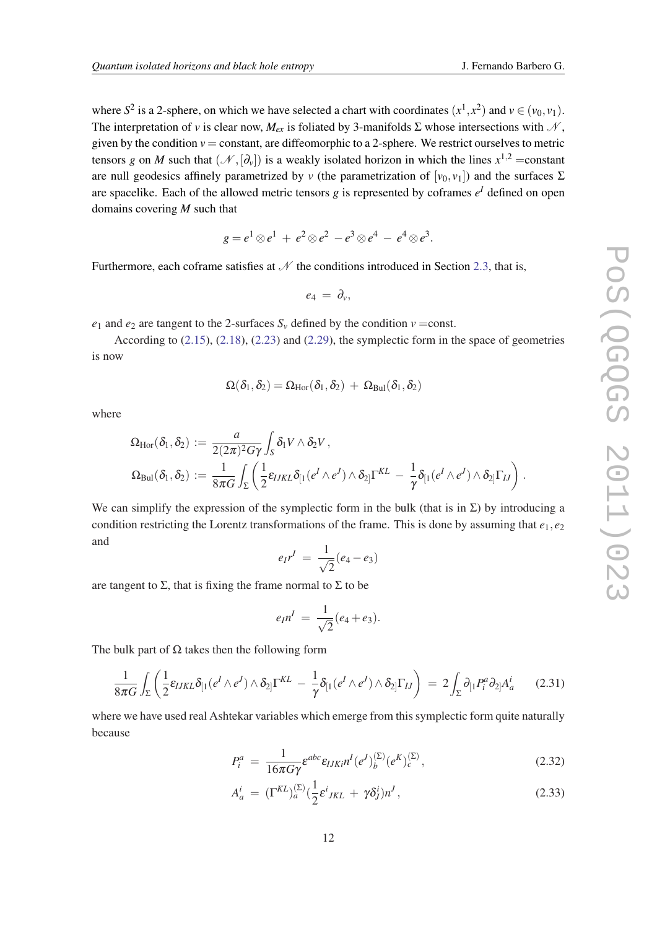where  $S^2$  is a 2-sphere, on which we have selected a chart with coordinates  $(x^1, x^2)$  and  $v \in (v_0, v_1)$ . The interpretation of *v* is clear now,  $M_{ex}$  is foliated by 3-manifolds  $\Sigma$  whose intersections with  $N$ , given by the condition  $v =$  constant, are diffeomorphic to a 2-sphere. We restrict ourselves to metric tensors *g* on *M* such that  $(\mathcal{N}, [\partial_v])$  is a weakly isolated horizon in which the lines  $x^{1,2} = constant$ are null geodesics affinely parametrized by *v* (the parametrization of  $[v_0, v_1]$ ) and the surfaces  $\Sigma$ are spacelike. Each of the allowed metric tensors *g* is represented by coframes  $e^I$  defined on open domains covering *M* such that

$$
g=e^1\otimes e^1\,+\,e^2\otimes e^2\,-e^3\otimes e^4\,-\,e^4\otimes e^3.
$$

Furthermore, each coframe satisfies at  $N$  the conditions introduced in Section [2.3,](#page-7-0) that is,

$$
e_4 = \partial_v,
$$

*e*<sub>1</sub> and *e*<sub>2</sub> are tangent to the 2-surfaces  $S_v$  defined by the condition  $v = const.$ 

According to [\(2.15\)](#page-6-0), [\(2.18](#page-7-0)), [\(2.23](#page-8-0)) and [\(2.29](#page-10-0)), the symplectic form in the space of geometries is now

$$
\Omega(\delta_1,\delta_2)=\Omega_{\mathrm{Hor}}(\delta_1,\delta_2)\,+\,\Omega_{\mathrm{Bul}}(\delta_1,\delta_2)
$$

where

$$
\Omega_{Hor}(\delta_1, \delta_2) := \frac{a}{2(2\pi)^2 G \gamma} \int_S \delta_1 V \wedge \delta_2 V,
$$
  
\n
$$
\Omega_{Bul}(\delta_1, \delta_2) := \frac{1}{8\pi G} \int_{\Sigma} \left( \frac{1}{2} \epsilon_{IJKL} \delta_{[1}(e^I \wedge e^J) \wedge \delta_{2]} \Gamma^{KL} - \frac{1}{\gamma} \delta_{[1}(e^I \wedge e^J) \wedge \delta_{2]} \Gamma_{IJ} \right).
$$

We can simplify the expression of the symplectic form in the bulk (that is in  $\Sigma$ ) by introducing a condition restricting the Lorentz transformations of the frame. This is done by assuming that  $e_1, e_2$ and

$$
e_{I}r^{I} = \frac{1}{\sqrt{2}}(e_{4}-e_{3})
$$

are tangent to  $\Sigma$ , that is fixing the frame normal to  $\Sigma$  to be

$$
e_{I}n^{I} = \frac{1}{\sqrt{2}}(e_{4} + e_{3}).
$$

The bulk part of  $\Omega$  takes then the following form

$$
\frac{1}{8\pi G}\int_{\Sigma}\left(\frac{1}{2}\varepsilon_{IJKL}\delta_{[1}(e^I\wedge e^J)\wedge\delta_{2]}\Gamma^{KL} - \frac{1}{\gamma}\delta_{[1}(e^I\wedge e^J)\wedge\delta_{2]}\Gamma_{IJ}\right) = 2\int_{\Sigma}\partial_{[1}P_i^a\partial_{2]}A_a^i
$$
 (2.31)

where we have used real Ashtekar variables which emerge from this symplectic form quite naturally because

$$
P_i^a = \frac{1}{16\pi G\gamma} \varepsilon^{abc} \varepsilon_{IJKi} n^I (e^J)_b^{(\Sigma)} (e^K)_c^{(\Sigma)}, \qquad (2.32)
$$

$$
A_a^i = (\Gamma^{KL})_a^{(\Sigma)} \left(\frac{1}{2} \varepsilon^i_{JKL} + \gamma \delta^i_J\right) n^J,
$$
\n(2.33)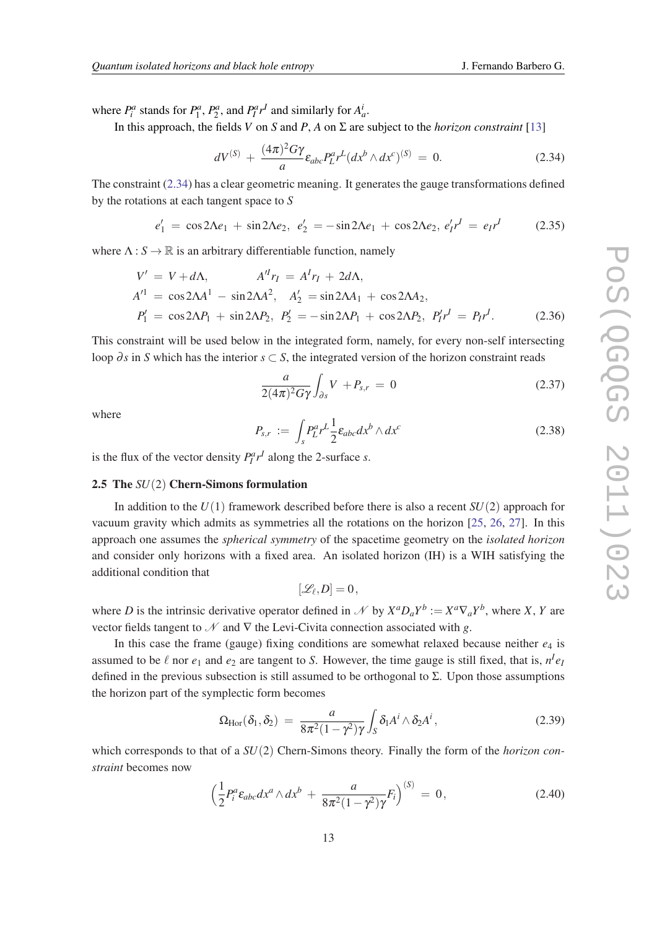<span id="page-12-0"></span>where  $P_i^a$  stands for  $P_1^a$ ,  $P_2^a$ , and  $P_i^a r^I$  and similarly for  $A_a^i$ .

In this approach, the fields *V* on *S* and *P*, *A* on  $\Sigma$  are subject to the *horizon constraint* [\[13](#page-25-0)]

$$
dV^{(S)} + \frac{(4\pi)^2 G\gamma}{a} \varepsilon_{abc} P_L^a r^L (dx^b \wedge dx^c)^{(S)} = 0.
$$
 (2.34)

The constraint (2.34) has a clear geometric meaning. It generates the gauge transformations defined by the rotations at each tangent space to *S*

$$
e'_1 = \cos 2\Lambda e_1 + \sin 2\Lambda e_2, \ e'_2 = -\sin 2\Lambda e_1 + \cos 2\Lambda e_2, \ e'_1 r^1 = e_1 r^1 \tag{2.35}
$$

where  $\Lambda: S \to \mathbb{R}$  is an arbitrary differentiable function, namely

$$
V' = V + d\Lambda, \qquad A''r_I = A^I r_I + 2d\Lambda, A'^1 = \cos 2\Lambda A^1 - \sin 2\Lambda A^2, \quad A'_2 = \sin 2\Lambda A_1 + \cos 2\Lambda A_2, P'_1 = \cos 2\Lambda P_1 + \sin 2\Lambda P_2, \quad P'_2 = -\sin 2\Lambda P_1 + \cos 2\Lambda P_2, \quad P'_1 r^I = P_I r^I.
$$
 (2.36)

This constraint will be used below in the integrated form, namely, for every non-self intersecting loop ∂s in S which has the interior  $s \subset S$ , the integrated version of the horizon constraint reads

$$
\frac{a}{2(4\pi)^2 G \gamma} \int_{\partial s} V + P_{s,r} = 0 \qquad (2.37)
$$

where

$$
P_{s,r} := \int_s P_L^a r^L \frac{1}{2} \varepsilon_{abc} dx^b \wedge dx^c \qquad (2.38)
$$

is the flux of the vector density  $P_I^a r^I$  along the 2-surface *s*.

#### 2.5 The *SU*(2) Chern-Simons formulation

In addition to the  $U(1)$  framework described before there is also a recent  $SU(2)$  approach for vacuum gravity which admits as symmetries all the rotations on the horizon [\[25](#page-26-0), [26](#page-26-0), [27](#page-26-0)]. In this approach one assumes the *spherical symmetry* of the spacetime geometry on the *isolated horizon* and consider only horizons with a fixed area. An isolated horizon (IH) is a WIH satisfying the additional condition that

$$
[\mathscr{L}_\ell,D]=0\,,
$$

where *D* is the intrinsic derivative operator defined in *N* by  $X^a D_a Y^b := X^a \nabla_a Y^b$ , where *X*, *Y* are vector fields tangent to  $\mathcal N$  and  $\nabla$  the Levi-Civita connection associated with g.

In this case the frame (gauge) fixing conditions are somewhat relaxed because neither *e*<sup>4</sup> is assumed to be  $\ell$  nor  $e_1$  and  $e_2$  are tangent to *S*. However, the time gauge is still fixed, that is,  $n^I e_I$ defined in the previous subsection is still assumed to be orthogonal to  $\Sigma$ . Upon those assumptions the horizon part of the symplectic form becomes

$$
\Omega_{\text{Hor}}(\delta_1, \delta_2) = \frac{a}{8\pi^2 (1 - \gamma^2) \gamma} \int_S \delta_1 A^i \wedge \delta_2 A^i, \qquad (2.39)
$$

which corresponds to that of a  $SU(2)$  Chern-Simons theory. Finally the form of the *horizon constraint* becomes now

$$
\left(\frac{1}{2}P_i^a\varepsilon_{abc}dx^a\wedge dx^b + \frac{a}{8\pi^2(1-\gamma^2)\gamma}F_i\right)^{(S)} = 0,
$$
\n(2.40)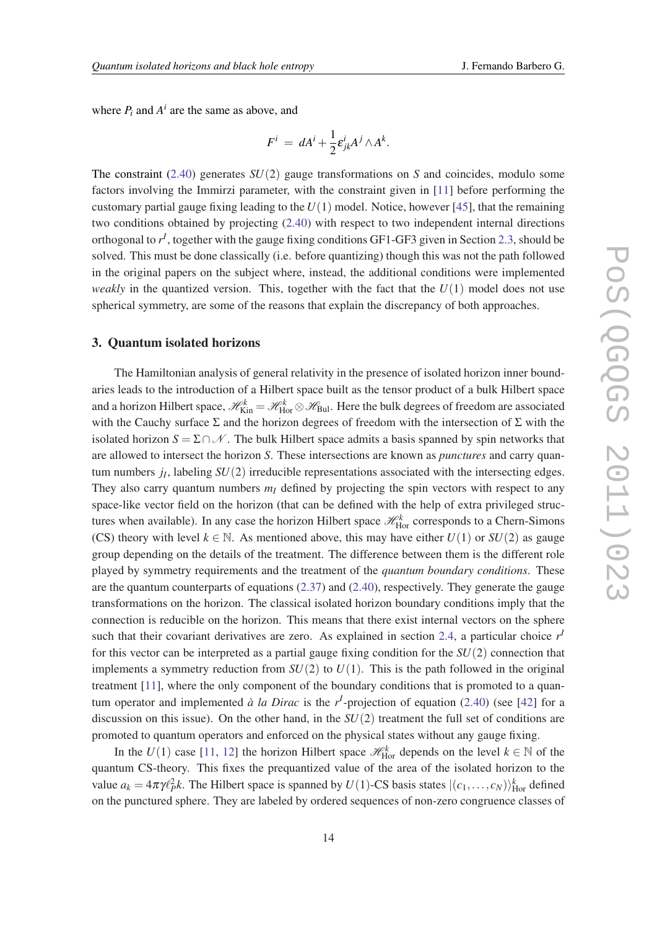where  $P_i$  and  $A^i$  are the same as above, and

$$
F^i = dA^i + \frac{1}{2} \varepsilon_{jk}^i A^j \wedge A^k.
$$

The constraint ([2.40\)](#page-12-0) generates *SU*(2) gauge transformations on *S* and coincides, modulo some factors involving the Immirzi parameter, with the constraint given in [\[11](#page-25-0)] before performing the customary partial gauge fixing leading to the  $U(1)$  model. Notice, however [[45](#page-27-0)], that the remaining two conditions obtained by projecting [\(2.40](#page-12-0)) with respect to two independent internal directions orthogonal to  $r<sup>I</sup>$ , together with the gauge fixing conditions GF1-GF3 given in Section [2.3](#page-7-0), should be solved. This must be done classically (i.e. before quantizing) though this was not the path followed in the original papers on the subject where, instead, the additional conditions were implemented *weakly* in the quantized version. This, together with the fact that the  $U(1)$  model does not use spherical symmetry, are some of the reasons that explain the discrepancy of both approaches.

#### 3. Quantum isolated horizons

The Hamiltonian analysis of general relativity in the presence of isolated horizon inner boundaries leads to the introduction of a Hilbert space built as the tensor product of a bulk Hilbert space and a horizon Hilbert space,  $\mathscr{H}_{\rm Kin}^k = \mathscr{H}_{\rm Hor}^k \otimes \mathscr{H}_{\rm Bul}$ . Here the bulk degrees of freedom are associated with the Cauchy surface  $\Sigma$  and the horizon degrees of freedom with the intersection of  $\Sigma$  with the isolated horizon  $S = \Sigma \cap \mathcal{N}$ . The bulk Hilbert space admits a basis spanned by spin networks that are allowed to intersect the horizon *S*. These intersections are known as *punctures* and carry quantum numbers *j<sup>I</sup>* , labeling *SU*(2) irreducible representations associated with the intersecting edges. They also carry quantum numbers  $m<sub>I</sub>$  defined by projecting the spin vectors with respect to any space-like vector field on the horizon (that can be defined with the help of extra privileged structures when available). In any case the horizon Hilbert space  $\mathcal{H}_{\rm Hor}^k$  corresponds to a Chern-Simons (CS) theory with level  $k \in \mathbb{N}$ . As mentioned above, this may have either  $U(1)$  or  $SU(2)$  as gauge group depending on the details of the treatment. The difference between them is the different role played by symmetry requirements and the treatment of the *quantum boundary conditions*. These are the quantum counterparts of equations [\(2.37](#page-12-0)) and ([2.40\)](#page-12-0), respectively. They generate the gauge transformations on the horizon. The classical isolated horizon boundary conditions imply that the connection is reducible on the horizon. This means that there exist internal vectors on the sphere such that their covariant derivatives are zero. As explained in section [2.4](#page-8-0), a particular choice  $r<sup>j</sup>$ for this vector can be interpreted as a partial gauge fixing condition for the *SU*(2) connection that implements a symmetry reduction from  $SU(2)$  to  $U(1)$ . This is the path followed in the original treatment [\[11](#page-25-0)], where the only component of the boundary conditions that is promoted to a quantum operator and implemented  $\dot{a}$  la Dirac is the  $r<sup>I</sup>$ -projection of equation ([2.40\)](#page-12-0) (see [\[42](#page-26-0)] for a discussion on this issue). On the other hand, in the *SU*(2) treatment the full set of conditions are promoted to quantum operators and enforced on the physical states without any gauge fixing.

In the *U*(1) case [[11](#page-25-0), [12\]](#page-25-0) the horizon Hilbert space  $\mathcal{H}_{\text{Hor}}^k$  depends on the level  $k \in \mathbb{N}$  of the quantum CS-theory. This fixes the prequantized value of the area of the isolated horizon to the value  $a_k = 4\pi \gamma \ell_P^2 k$ . The Hilbert space is spanned by  $U(1)$ -CS basis states  $|(c_1,\ldots,c_N)\rangle_{\text{Hor}}^k$  defined on the punctured sphere. They are labeled by ordered sequences of non-zero congruence classes of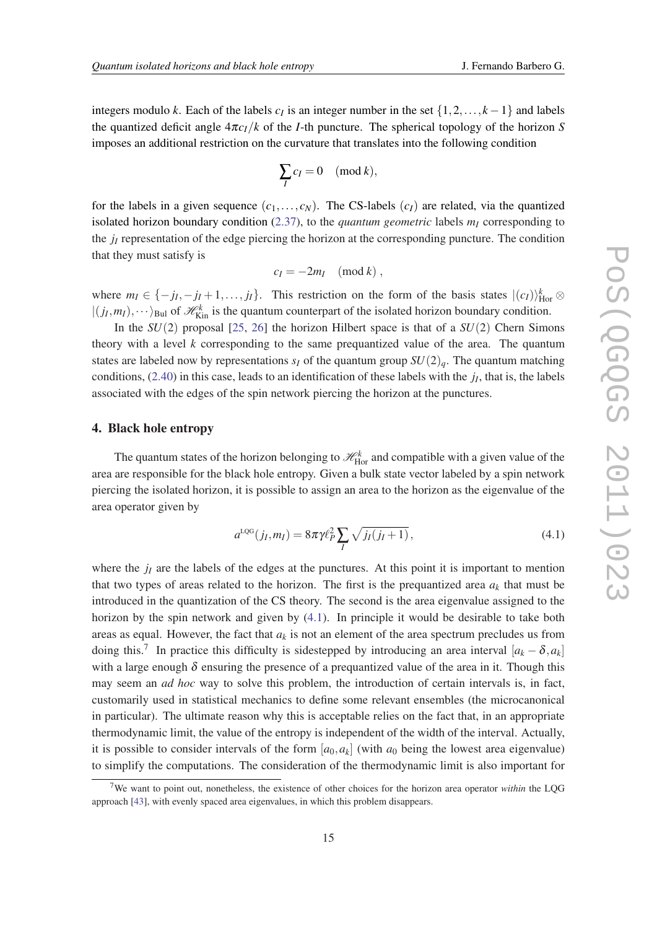integers modulo *k*. Each of the labels  $c_I$  is an integer number in the set  $\{1, 2, ..., k - 1\}$  and labels the quantized deficit angle  $4\pi c_I/k$  of the *I*-th puncture. The spherical topology of the horizon *S* imposes an additional restriction on the curvature that translates into the following condition

$$
\sum_{I} c_I = 0 \pmod{k},
$$

for the labels in a given sequence  $(c_1, \ldots, c_N)$ . The CS-labels  $(c_I)$  are related, via the quantized isolated horizon boundary condition [\(2.37\)](#page-12-0), to the *quantum geometric* labels *m<sup>I</sup>* corresponding to the *j<sup>I</sup>* representation of the edge piercing the horizon at the corresponding puncture. The condition that they must satisfy is

$$
c_I = -2m_I \pmod{k},
$$

where  $m_I \in \{-j_I, -j_I + 1, \ldots, j_I\}$ . This restriction on the form of the basis states  $|(c_I)\rangle_{\text{Hor}}^k \otimes$  $|(j_I, m_I), \dots \rangle_{\text{Bul}}$  of  $\mathcal{H}_{\text{Kin}}^k$  is the quantum counterpart of the isolated horizon boundary condition.

In the *SU*(2) proposal [[25,](#page-26-0) [26](#page-26-0)] the horizon Hilbert space is that of a *SU*(2) Chern Simons theory with a level *k* corresponding to the same prequantized value of the area. The quantum states are labeled now by representations  $s_I$  of the quantum group  $SU(2)_a$ . The quantum matching conditions, ([2.40\)](#page-12-0) in this case, leads to an identification of these labels with the *j<sup>I</sup>* , that is, the labels associated with the edges of the spin network piercing the horizon at the punctures.

### 4. Black hole entropy

The quantum states of the horizon belonging to  $\mathcal{H}_{\text{Hor}}^k$  and compatible with a given value of the area are responsible for the black hole entropy. Given a bulk state vector labeled by a spin network piercing the isolated horizon, it is possible to assign an area to the horizon as the eigenvalue of the area operator given by

$$
a^{\text{LQG}}(j_{I}, m_{I}) = 8\pi \gamma \ell_{P}^{2} \sum_{I} \sqrt{j_{I}(j_{I} + 1)}, \qquad (4.1)
$$

where the  $j_I$  are the labels of the edges at the punctures. At this point it is important to mention that two types of areas related to the horizon. The first is the prequantized area  $a_k$  that must be introduced in the quantization of the CS theory. The second is the area eigenvalue assigned to the horizon by the spin network and given by (4.1). In principle it would be desirable to take both areas as equal. However, the fact that  $a_k$  is not an element of the area spectrum precludes us from doing this.<sup>7</sup> In practice this difficulty is sidestepped by introducing an area interval  $[a_k - \delta, a_k]$ with a large enough  $\delta$  ensuring the presence of a prequantized value of the area in it. Though this may seem an *ad hoc* way to solve this problem, the introduction of certain intervals is, in fact, customarily used in statistical mechanics to define some relevant ensembles (the microcanonical in particular). The ultimate reason why this is acceptable relies on the fact that, in an appropriate thermodynamic limit, the value of the entropy is independent of the width of the interval. Actually, it is possible to consider intervals of the form  $[a_0, a_k]$  (with  $a_0$  being the lowest area eigenvalue) to simplify the computations. The consideration of the thermodynamic limit is also important for

<sup>7</sup>We want to point out, nonetheless, the existence of other choices for the horizon area operator *within* the LQG approach [\[43](#page-26-0)], with evenly spaced area eigenvalues, in which this problem disappears.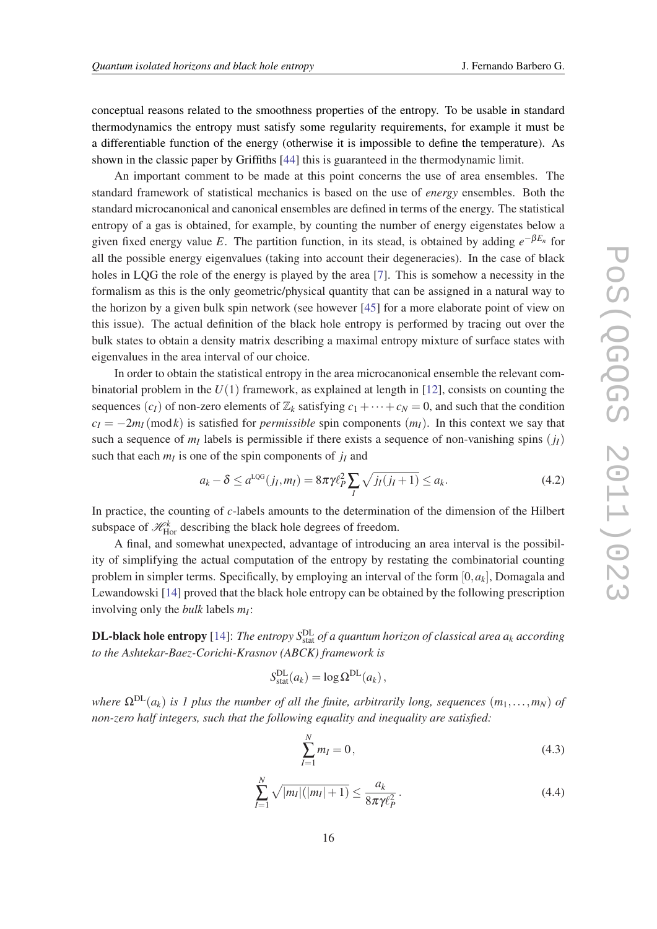<span id="page-15-0"></span>conceptual reasons related to the smoothness properties of the entropy. To be usable in standard thermodynamics the entropy must satisfy some regularity requirements, for example it must be a differentiable function of the energy (otherwise it is impossible to define the temperature). As shown in the classic paper by Griffiths [\[44\]](#page-27-0) this is guaranteed in the thermodynamic limit.

An important comment to be made at this point concerns the use of area ensembles. The standard framework of statistical mechanics is based on the use of *energy* ensembles. Both the standard microcanonical and canonical ensembles are defined in terms of the energy. The statistical entropy of a gas is obtained, for example, by counting the number of energy eigenstates below a given fixed energy value *E*. The partition function, in its stead, is obtained by adding *e* −β*E<sup>n</sup>* for all the possible energy eigenvalues (taking into account their degeneracies). In the case of black holes in LOG the role of the energy is played by the area [\[7\]](#page-25-0). This is somehow a necessity in the formalism as this is the only geometric/physical quantity that can be assigned in a natural way to the horizon by a given bulk spin network (see however [\[45](#page-27-0)] for a more elaborate point of view on this issue). The actual definition of the black hole entropy is performed by tracing out over the bulk states to obtain a density matrix describing a maximal entropy mixture of surface states with eigenvalues in the area interval of our choice.

In order to obtain the statistical entropy in the area microcanonical ensemble the relevant combinatorial problem in the  $U(1)$  framework, as explained at length in [\[12](#page-25-0)], consists on counting the sequences  $(c_I)$  of non-zero elements of  $\mathbb{Z}_k$  satisfying  $c_1 + \cdots + c_N = 0$ , and such that the condition  $c_I = -2m_I (mod k)$  is satisfied for *permissible* spin components  $(m_I)$ . In this context we say that such a sequence of  $m<sub>I</sub>$  labels is permissible if there exists a sequence of non-vanishing spins  $(j<sub>I</sub>)$ such that each  $m<sub>I</sub>$  is one of the spin components of  $j<sub>I</sub>$  and

$$
a_k - \delta \le a^{\text{LQG}}(j_I, m_I) = 8\pi \gamma \ell_P^2 \sum_I \sqrt{j_I(j_I + 1)} \le a_k. \tag{4.2}
$$

In practice, the counting of *c*-labels amounts to the determination of the dimension of the Hilbert subspace of  $\mathcal{H}_{\text{Hor}}^k$  describing the black hole degrees of freedom.

A final, and somewhat unexpected, advantage of introducing an area interval is the possibility of simplifying the actual computation of the entropy by restating the combinatorial counting problem in simpler terms. Specifically, by employing an interval of the form [0,*ak*], Domagala and Lewandowski [[14\]](#page-26-0) proved that the black hole entropy can be obtained by the following prescription involving only the *bulk* labels *m<sup>I</sup>* :

**DL-black hole entropy** [[14\]](#page-26-0): The entropy  $S^{DL}_{stat}$  of a quantum horizon of classical area  $a_k$  according *to the Ashtekar-Baez-Corichi-Krasnov (ABCK) framework is*

$$
S_{\text{stat}}^{\text{DL}}(a_k) = \log \Omega^{\text{DL}}(a_k),
$$

*where*  $\Omega^{DL}(a_k)$  *is 1 plus the number of all the finite, arbitrarily long, sequences*  $(m_1, \ldots, m_N)$  *of non-zero half integers, such that the following equality and inequality are satisfied:*

$$
\sum_{I=1}^{N} m_I = 0, \tag{4.3}
$$

$$
\sum_{I=1}^{N} \sqrt{|m_I|(|m_I|+1)} \le \frac{a_k}{8\pi \gamma \ell_P^2}.
$$
\n(4.4)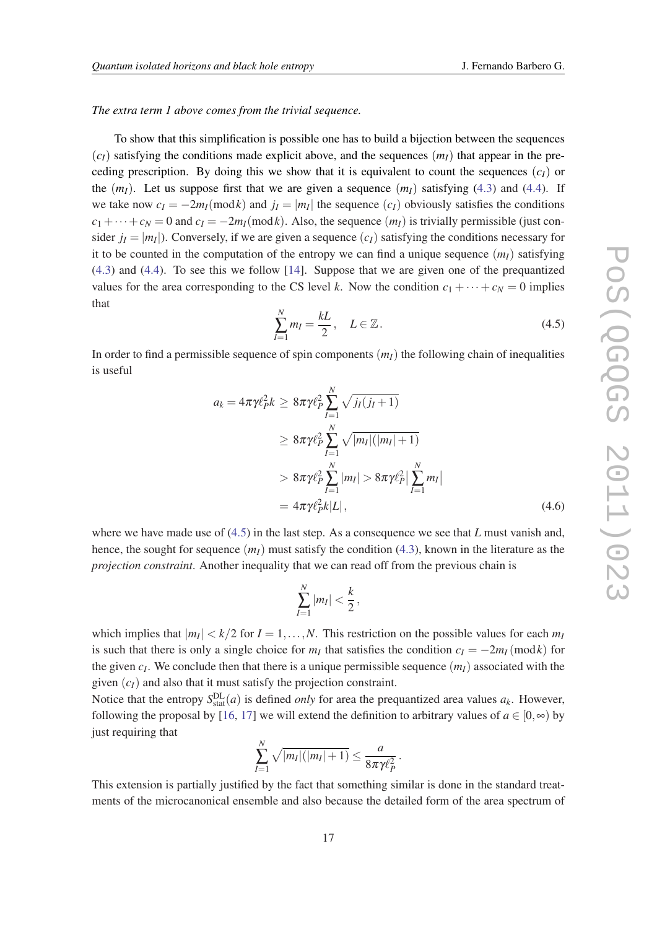#### *The extra term 1 above comes from the trivial sequence.*

To show that this simplification is possible one has to build a bijection between the sequences  $(c_I)$  satisfying the conditions made explicit above, and the sequences  $(m_I)$  that appear in the preceding prescription. By doing this we show that it is equivalent to count the sequences  $(c_I)$  or the  $(m<sub>I</sub>)$ . Let us suppose first that we are given a sequence  $(m<sub>I</sub>)$  satisfying ([4.3](#page-15-0)) and [\(4.4\)](#page-15-0). If we take now  $c_I = -2m_I \pmod{k}$  and  $j_I = |m_I|$  the sequence  $(c_I)$  obviously satisfies the conditions  $c_1 + \cdots + c_N = 0$  and  $c_I = -2m_I \pmod{k}$ . Also, the sequence  $(m_I)$  is trivially permissible (just consider  $j_I = |m_I|$ ). Conversely, if we are given a sequence  $(c_I)$  satisfying the conditions necessary for it to be counted in the computation of the entropy we can find a unique sequence  $(m<sub>I</sub>)$  satisfying ([4.3\)](#page-15-0) and ([4.4\)](#page-15-0). To see this we follow [\[14](#page-26-0)]. Suppose that we are given one of the prequantized values for the area corresponding to the CS level *k*. Now the condition  $c_1 + \cdots + c_N = 0$  implies that

$$
\sum_{I=1}^{N} m_I = \frac{kL}{2}, \quad L \in \mathbb{Z}.
$$
\n(4.5)

In order to find a permissible sequence of spin components  $(m<sub>I</sub>)$  the following chain of inequalities is useful

$$
a_{k} = 4\pi\gamma \ell_{P}^{2} k \ge 8\pi\gamma \ell_{P}^{2} \sum_{I=1}^{N} \sqrt{j_{I}(j_{I}+1)}
$$
  
\n
$$
\ge 8\pi\gamma \ell_{P}^{2} \sum_{I=1}^{N} \sqrt{|m_{I}|(|m_{I}|+1)}
$$
  
\n
$$
> 8\pi\gamma \ell_{P}^{2} \sum_{I=1}^{N} |m_{I}| > 8\pi\gamma \ell_{P}^{2} |\sum_{I=1}^{N} m_{I}|
$$
  
\n
$$
= 4\pi\gamma \ell_{P}^{2} k |L|, \qquad (4.6)
$$

where we have made use of (4.5) in the last step. As a consequence we see that *L* must vanish and, hence, the sought for sequence  $(m<sub>I</sub>)$  must satisfy the condition [\(4.3\)](#page-15-0), known in the literature as the *projection constraint*. Another inequality that we can read off from the previous chain is

$$
\sum_{I=1}^N |m_I| < \frac{k}{2},
$$

which implies that  $|m_I| < k/2$  for  $I = 1, ..., N$ . This restriction on the possible values for each  $m_I$ is such that there is only a single choice for  $m<sub>I</sub>$  that satisfies the condition  $c<sub>I</sub> = -2m<sub>I</sub>$ (mod*k*) for the given *c<sup>I</sup>* . We conclude then that there is a unique permissible sequence (*mI*) associated with the given  $(c_I)$  and also that it must satisfy the projection constraint.

Notice that the entropy  $S_{\text{stat}}^{\text{DL}}(a)$  is defined *only* for area the prequantized area values  $a_k$ . However, following the proposal by [[16,](#page-26-0) [17\]](#page-26-0) we will extend the definition to arbitrary values of  $a \in [0, \infty)$  by just requiring that

$$
\sum_{I=1}^N \sqrt{|m_I|(|m_I|+1)} \leq \frac{a}{8\pi\gamma\ell_P^2}.
$$

This extension is partially justified by the fact that something similar is done in the standard treatments of the microcanonical ensemble and also because the detailed form of the area spectrum of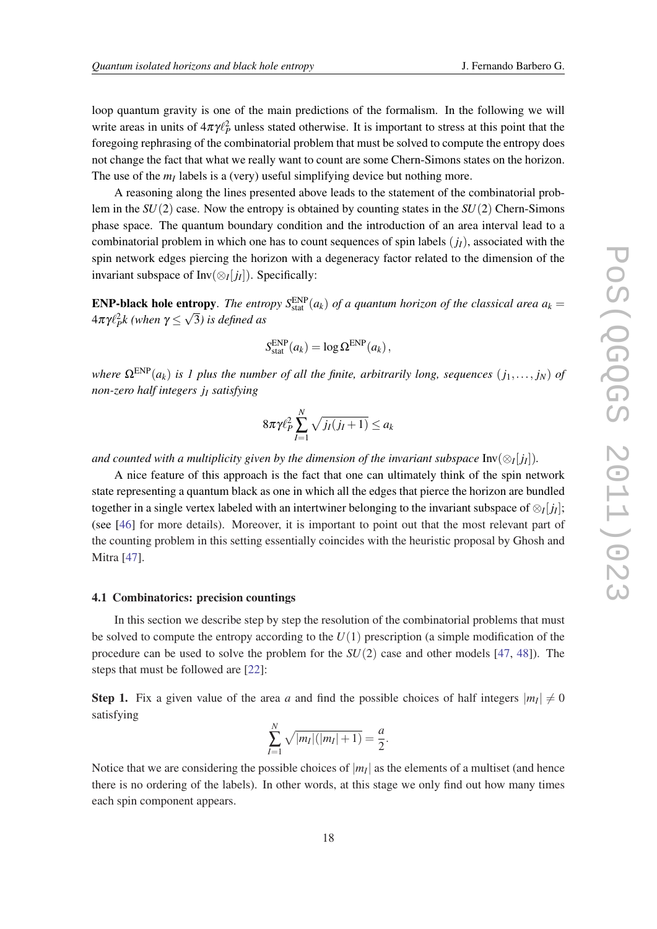loop quantum gravity is one of the main predictions of the formalism. In the following we will write areas in units of  $4\pi\gamma\ell_P^2$  unless stated otherwise. It is important to stress at this point that the foregoing rephrasing of the combinatorial problem that must be solved to compute the entropy does not change the fact that what we really want to count are some Chern-Simons states on the horizon. The use of the  $m_I$  labels is a (very) useful simplifying device but nothing more.

A reasoning along the lines presented above leads to the statement of the combinatorial problem in the *SU*(2) case. Now the entropy is obtained by counting states in the *SU*(2) Chern-Simons phase space. The quantum boundary condition and the introduction of an area interval lead to a combinatorial problem in which one has to count sequences of spin labels  $(j_l)$ , associated with the spin network edges piercing the horizon with a degeneracy factor related to the dimension of the invariant subspace of  $Inv(\otimes_I[j_I])$ . Specifically:

**ENP-black hole entropy.** The entropy  $S_{stat}^{END}(a_k)$  of a quantum horizon of the classical area  $a_k =$  $4\pi\gamma\ell_P^2$ k (when  $\gamma$   $\leq$   $\sqrt{3}$ ) is defined as

$$
S_{\text{stat}}^{\text{ENP}}(a_k) = \log \Omega^{\text{ENP}}(a_k),
$$

*where*  $\Omega^{\text{ENP}}(a_k)$  *is 1 plus the number of all the finite, arbitrarily long, sequences*  $(i_1, \ldots, j_N)$  *of non-zero half integers j<sup>I</sup> satisfying*

$$
8\pi\gamma\ell_P^2\sum_{I=1}^N\sqrt{j_I(j_I+1)}\leq a_k
$$

and counted with a multiplicity given by the dimension of the invariant subspace  $\text{Inv}(\otimes_I[j_I]).$ 

A nice feature of this approach is the fact that one can ultimately think of the spin network state representing a quantum black as one in which all the edges that pierce the horizon are bundled together in a single vertex labeled with an intertwiner belonging to the invariant subspace of  $\otimes_I[j_I];$ (see [\[46](#page-27-0)] for more details). Moreover, it is important to point out that the most relevant part of the counting problem in this setting essentially coincides with the heuristic proposal by Ghosh and Mitra [[47\]](#page-27-0).

#### 4.1 Combinatorics: precision countings

In this section we describe step by step the resolution of the combinatorial problems that must be solved to compute the entropy according to the  $U(1)$  prescription (a simple modification of the procedure can be used to solve the problem for the *SU*(2) case and other models [\[47](#page-27-0), [48](#page-27-0)]). The steps that must be followed are [[22\]](#page-26-0):

**Step 1.** Fix a given value of the area *a* and find the possible choices of half integers  $|m_I| \neq 0$ satisfying

$$
\sum_{I=1}^{N} \sqrt{|m_I|(|m_I|+1)} = \frac{a}{2}.
$$

Notice that we are considering the possible choices of  $|m_I|$  as the elements of a multiset (and hence there is no ordering of the labels). In other words, at this stage we only find out how many times each spin component appears.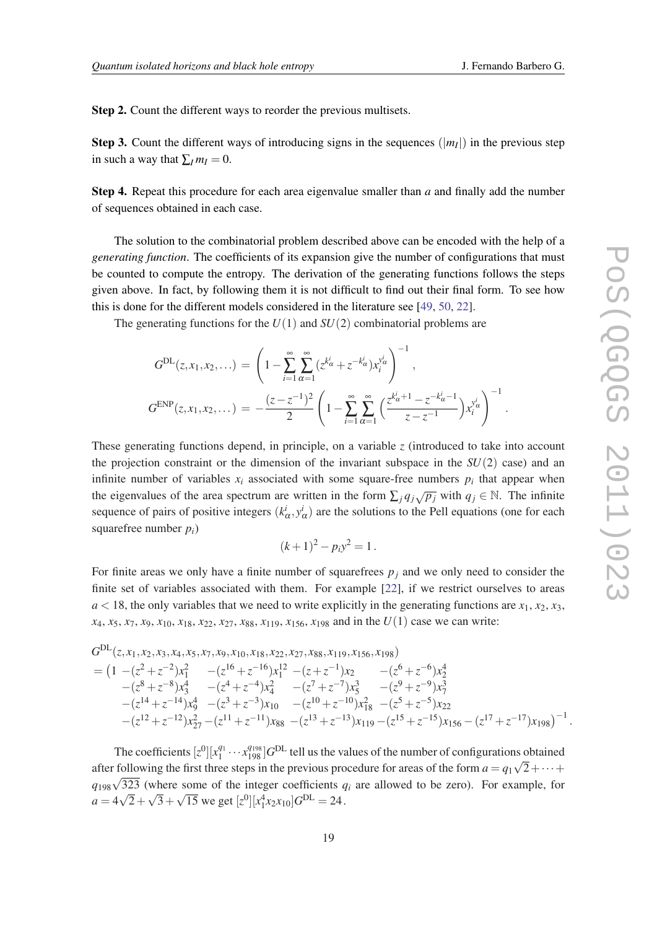Step 2. Count the different ways to reorder the previous multisets.

**Step 3.** Count the different ways of introducing signs in the sequences  $(|m_I|)$  in the previous step in such a way that  $\sum_{I} m_{I} = 0$ .

Step 4. Repeat this procedure for each area eigenvalue smaller than *a* and finally add the number of sequences obtained in each case.

The solution to the combinatorial problem described above can be encoded with the help of a *generating function*. The coefficients of its expansion give the number of configurations that must be counted to compute the entropy. The derivation of the generating functions follows the steps given above. In fact, by following them it is not difficult to find out their final form. To see how this is done for the different models considered in the literature see [\[49](#page-27-0), [50](#page-27-0), [22\]](#page-26-0).

The generating functions for the *U*(1) and *SU*(2) combinatorial problems are

$$
G^{\text{DL}}(z, x_1, x_2, \ldots) = \left(1 - \sum_{i=1}^{\infty} \sum_{\alpha=1}^{\infty} (z^{k'_{\alpha}} + z^{-k'_{\alpha}}) x_i^{y_{\alpha}^i} \right)^{-1},
$$
  

$$
G^{\text{ENP}}(z, x_1, x_2, \ldots) = -\frac{(z - z^{-1})^2}{2} \left(1 - \sum_{i=1}^{\infty} \sum_{\alpha=1}^{\infty} \left(\frac{z^{k'_{\alpha}+1} - z^{-k'_{\alpha}-1}}{z - z^{-1}}\right) x_i^{y_{\alpha}^i}\right)^{-1}.
$$

These generating functions depend, in principle, on a variable *z* (introduced to take into account the projection constraint or the dimension of the invariant subspace in the *SU*(2) case) and an infinite number of variables  $x_i$  associated with some square-free numbers  $p_i$  that appear when the eigenvalues of the area spectrum are written in the form  $\sum_{j} q_{j} \sqrt{p_{j}}$  with  $q_{j} \in \mathbb{N}$ . The infinite sequence of pairs of positive integers  $(k^i_\alpha, y^i_\alpha)$  are the solutions to the Pell equations (one for each squarefree number *pi*)

$$
(k+1)^2 - p_i y^2 = 1.
$$

For finite areas we only have a finite number of squarefrees  $p_i$  and we only need to consider the finite set of variables associated with them. For example [\[22\]](#page-26-0), if we restrict ourselves to areas  $a$  < 18, the only variables that we need to write explicitly in the generating functions are  $x_1, x_2, x_3$ ,  $x_4, x_5, x_7, x_9, x_{10}, x_{18}, x_{22}, x_{27}, x_{88}, x_{119}, x_{156}, x_{198}$  and in the  $U(1)$  case we can write:

$$
G^{\text{DL}}(z, x_1, x_2, x_3, x_4, x_5, x_7, x_9, x_{10}, x_{18}, x_{22}, x_{27}, x_{88}, x_{119}, x_{156}, x_{198})
$$
\n
$$
= \left(1 - (z^2 + z^{-2})x_1^2 - (z^{16} + z^{-16})x_1^{12} - (z + z^{-1})x_2 - (z^6 + z^{-6})x_2^4 - (z^8 + z^{-8})x_3^4 - (z^4 + z^{-4})x_4^2 - (z^7 + z^{-7})x_5^3 - (z^9 + z^{-9})x_7^3 - (z^{14} + z^{-14})x_9^4 - (z^3 + z^{-3})x_{10} - (z^{10} + z^{-10})x_{18}^2 - (z^5 + z^{-5})x_{22} - (z^{12} + z^{-12})x_{27}^2 - (z^{11} + z^{-11})x_{88} - (z^{13} + z^{-13})x_{119} - (z^{15} + z^{-15})x_{156} - (z^{17} + z^{-17})x_{198}\right)^{-1}.
$$

The coefficients  $[z^0][x_1^{q_1} \cdots x_{198}^{q_{198}}]G^{DL}$  tell us the values of the number of configurations obtained after following the first three steps in the previous procedure for areas of the form  $a = q_1 \sqrt{2} + \cdots + q_n$  $q_{198}\sqrt{323}$  (where some of the integer coefficients  $q_i$  are allowed to be zero). For example, for  $a = 4\sqrt{2} + \sqrt{3} + \sqrt{15}$  we get  $[z^0][x_1^4x_2x_{10}]G^{\text{DL}} = 24$ .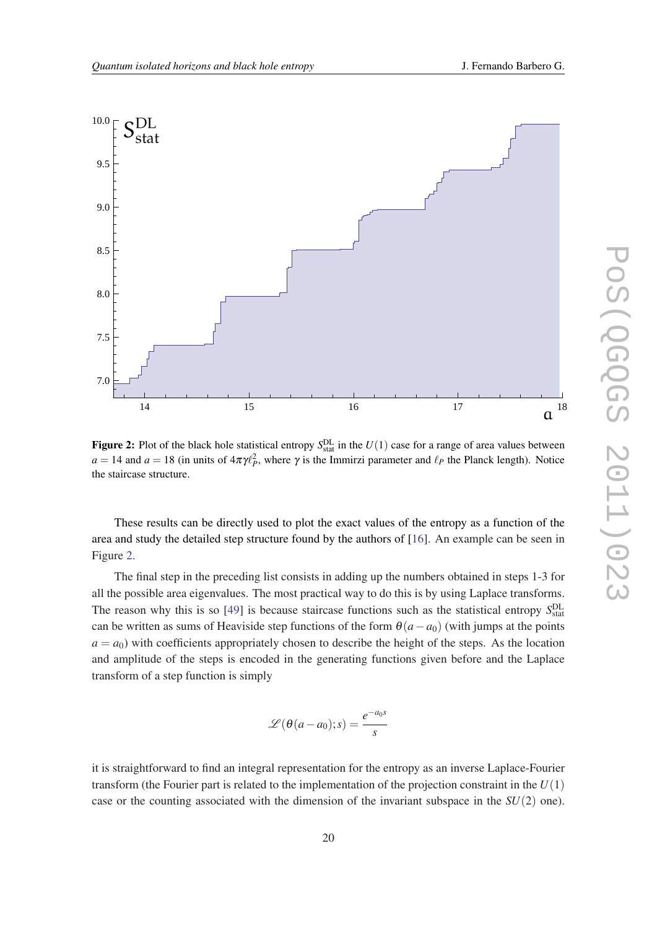

Figure 2: Plot of the black hole statistical entropy  $S_{stat}^{DL}$  in the  $U(1)$  case for a range of area values between  $a = 14$  and  $a = 18$  (in units of  $4\pi\gamma l_P^2$ , where  $\gamma$  is the Immirzi parameter and  $\ell_P$  the Planck length). Notice the staircase structure.

These results can be directly used to plot the exact values of the entropy as a function of the area and study the detailed step structure found by the authors of [\[16](#page-26-0)]. An example can be seen in Figure 2.

The final step in the preceding list consists in adding up the numbers obtained in steps 1-3 for all the possible area eigenvalues. The most practical way to do this is by using Laplace transforms. The reason why this is so  $[49]$  $[49]$  is because staircase functions such as the statistical entropy  $S_{stat}^{DL}$ can be written as sums of Heaviside step functions of the form  $\theta$ ( $a - a_0$ ) (with jumps at the points  $a = a_0$ ) with coefficients appropriately chosen to describe the height of the steps. As the location and amplitude of the steps is encoded in the generating functions given before and the Laplace transform of a step function is simply

$$
\mathscr{L}(\theta(a-a_0);s) = \frac{e^{-a_0s}}{s}
$$

it is straightforward to find an integral representation for the entropy as an inverse Laplace-Fourier transform (the Fourier part is related to the implementation of the projection constraint in the *U*(1) case or the counting associated with the dimension of the invariant subspace in the *SU*(2) one).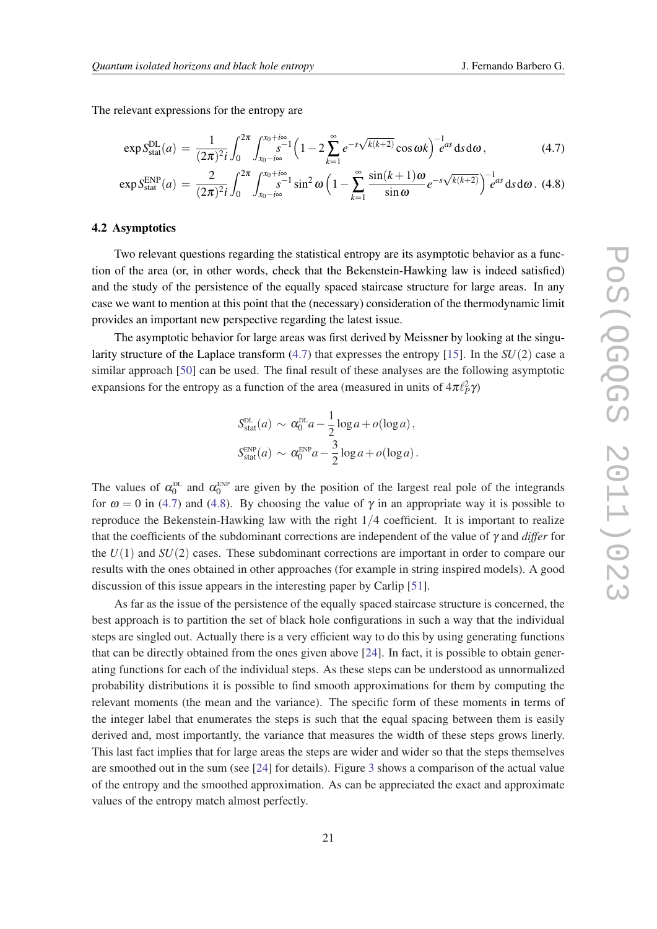<span id="page-20-0"></span>The relevant expressions for the entropy are

$$
\exp S_{\text{stat}}^{\text{DL}}(a) = \frac{1}{(2\pi)^2 i} \int_0^{2\pi} \int_{x_0 - i\infty}^{x_0 + i\infty} \left(1 - 2\sum_{k=1}^\infty e^{-s\sqrt{k(k+2)}} \cos \omega k\right)^{-1} e^{as} ds d\omega, \tag{4.7}
$$

$$
\exp S_{\text{stat}}^{\text{EMP}}(a) = \frac{2}{(2\pi)^2 i} \int_0^{2\pi} \int_{x_0 - i\infty}^{x_0 + i\infty} \sin^2 \omega \left(1 - \sum_{k=1}^{\infty} \frac{\sin(k+1)\omega}{\sin \omega} e^{-s\sqrt{k(k+2)}}\right)^{-1} e^{as} \, \text{d} s \, \text{d}\omega. \tag{4.8}
$$

#### 4.2 Asymptotics

Two relevant questions regarding the statistical entropy are its asymptotic behavior as a function of the area (or, in other words, check that the Bekenstein-Hawking law is indeed satisfied) and the study of the persistence of the equally spaced staircase structure for large areas. In any case we want to mention at this point that the (necessary) consideration of the thermodynamic limit provides an important new perspective regarding the latest issue.

The asymptotic behavior for large areas was first derived by Meissner by looking at the singularity structure of the Laplace transform (4.7) that expresses the entropy [\[15](#page-26-0)]. In the *SU*(2) case a similar approach [\[50](#page-27-0)] can be used. The final result of these analyses are the following asymptotic expansions for the entropy as a function of the area (measured in units of  $4\pi\ell_P^2\gamma$ )

$$
S_{\text{stat}}^{\text{DL}}(a) \sim \alpha_0^{\text{DL}}a - \frac{1}{2}\log a + o(\log a),
$$
  

$$
S_{\text{stat}}^{\text{ENP}}(a) \sim \alpha_0^{\text{ENP}}a - \frac{3}{2}\log a + o(\log a).
$$

The values of  $\alpha_0^{\text{DL}}$  and  $\alpha_0^{\text{ENP}}$  are given by the position of the largest real pole of the integrands for  $\omega = 0$  in (4.7) and (4.8). By choosing the value of  $\gamma$  in an appropriate way it is possible to reproduce the Bekenstein-Hawking law with the right 1/4 coefficient. It is important to realize that the coefficients of the subdominant corrections are independent of the value of γ and *differ* for the *U*(1) and *SU*(2) cases. These subdominant corrections are important in order to compare our results with the ones obtained in other approaches (for example in string inspired models). A good discussion of this issue appears in the interesting paper by Carlip [[51\]](#page-27-0).

As far as the issue of the persistence of the equally spaced staircase structure is concerned, the best approach is to partition the set of black hole configurations in such a way that the individual steps are singled out. Actually there is a very efficient way to do this by using generating functions that can be directly obtained from the ones given above [\[24](#page-26-0)]. In fact, it is possible to obtain generating functions for each of the individual steps. As these steps can be understood as unnormalized probability distributions it is possible to find smooth approximations for them by computing the relevant moments (the mean and the variance). The specific form of these moments in terms of the integer label that enumerates the steps is such that the equal spacing between them is easily derived and, most importantly, the variance that measures the width of these steps grows linerly. This last fact implies that for large areas the steps are wider and wider so that the steps themselves are smoothed out in the sum (see [\[24](#page-26-0)] for details). Figure [3](#page-21-0) shows a comparison of the actual value of the entropy and the smoothed approximation. As can be appreciated the exact and approximate values of the entropy match almost perfectly.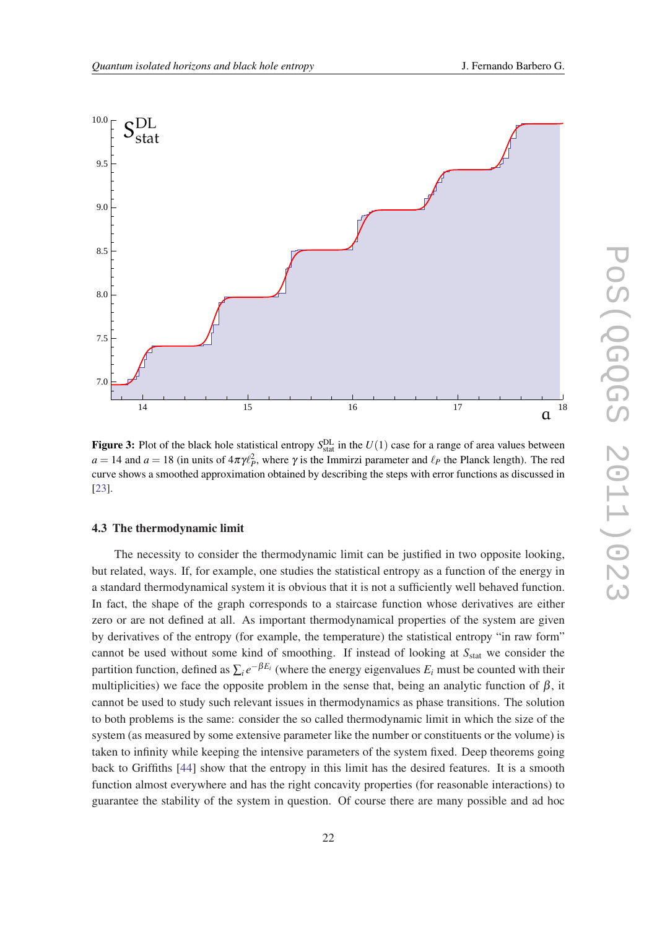<span id="page-21-0"></span>

Figure 3: Plot of the black hole statistical entropy  $S_{stat}^{DL}$  in the  $U(1)$  case for a range of area values between  $a = 14$  and  $a = 18$  (in units of  $4\pi\gamma\ell_P^2$ , where  $\gamma$  is the Immirzi parameter and  $\ell_P$  the Planck length). The red curve shows a smoothed approximation obtained by describing the steps with error functions as discussed in [[23\]](#page-26-0).

#### 4.3 The thermodynamic limit

The necessity to consider the thermodynamic limit can be justified in two opposite looking, but related, ways. If, for example, one studies the statistical entropy as a function of the energy in a standard thermodynamical system it is obvious that it is not a sufficiently well behaved function. In fact, the shape of the graph corresponds to a staircase function whose derivatives are either zero or are not defined at all. As important thermodynamical properties of the system are given by derivatives of the entropy (for example, the temperature) the statistical entropy "in raw form" cannot be used without some kind of smoothing. If instead of looking at S<sub>stat</sub> we consider the partition function, defined as  $\sum_i e^{-\beta E_i}$  (where the energy eigenvalues  $E_i$  must be counted with their multiplicities) we face the opposite problem in the sense that, being an analytic function of  $\beta$ , it cannot be used to study such relevant issues in thermodynamics as phase transitions. The solution to both problems is the same: consider the so called thermodynamic limit in which the size of the system (as measured by some extensive parameter like the number or constituents or the volume) is taken to infinity while keeping the intensive parameters of the system fixed. Deep theorems going back to Griffiths [\[44](#page-27-0)] show that the entropy in this limit has the desired features. It is a smooth function almost everywhere and has the right concavity properties (for reasonable interactions) to guarantee the stability of the system in question. Of course there are many possible and ad hoc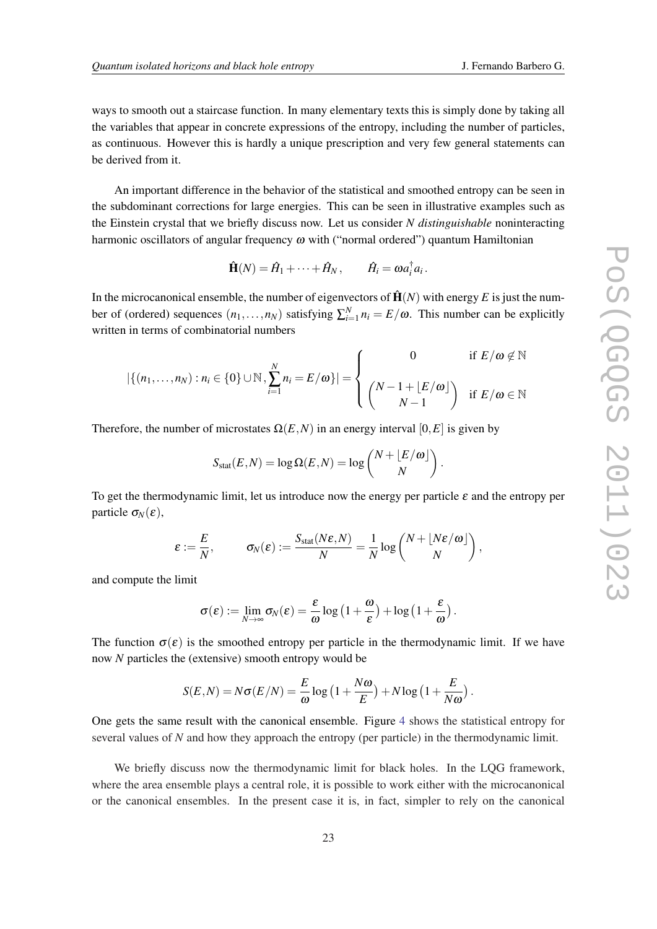ways to smooth out a staircase function. In many elementary texts this is simply done by taking all the variables that appear in concrete expressions of the entropy, including the number of particles, as continuous. However this is hardly a unique prescription and very few general statements can be derived from it.

An important difference in the behavior of the statistical and smoothed entropy can be seen in the subdominant corrections for large energies. This can be seen in illustrative examples such as the Einstein crystal that we briefly discuss now. Let us consider *N distinguishable* noninteracting harmonic oscillators of angular frequency  $\omega$  with ("normal ordered") quantum Hamiltonian

$$
\hat{\mathbf{H}}(N) = \hat{H}_1 + \cdots + \hat{H}_N, \qquad \hat{H}_i = \omega a_i^{\dagger} a_i.
$$

In the microcanonical ensemble, the number of eigenvectors of  $\hat{H}(N)$  with energy E is just the number of (ordered) sequences  $(n_1, \ldots, n_N)$  satisfying  $\sum_{i=1}^N n_i = E/\omega$ . This number can be explicitly written in terms of combinatorial numbers

$$
|\{(n_1,\ldots,n_N):n_i\in\{0\}\cup\mathbb{N},\sum_{i=1}^N n_i=E/\omega\}|=\left\{\begin{array}{cc}0 & \text{if }E/\omega\notin\mathbb{N}\\(N-1+\lfloor E/\omega\rfloor) & \text{if }E/\omega\in\mathbb{N}\\N-1 & \end{array}\right.
$$

Therefore, the number of microstates  $\Omega(E, N)$  in an energy interval [0, E] is given by

$$
S_{\text{stat}}(E,N) = \log \Omega(E,N) = \log \binom{N + \lfloor E/\omega \rfloor}{N}.
$$

To get the thermodynamic limit, let us introduce now the energy per particle  $\varepsilon$  and the entropy per particle  $\sigma_N(\varepsilon)$ ,

$$
\varepsilon := \frac{E}{N}, \qquad \sigma_N(\varepsilon) := \frac{S_{\text{stat}}(N\varepsilon, N)}{N} = \frac{1}{N} \log \binom{N + \lfloor N\varepsilon/\omega \rfloor}{N},
$$

and compute the limit

$$
\sigma(\varepsilon) := \lim_{N \to \infty} \sigma_N(\varepsilon) = \frac{\varepsilon}{\omega} \log \left( 1 + \frac{\omega}{\varepsilon} \right) + \log \left( 1 + \frac{\varepsilon}{\omega} \right).
$$

The function  $\sigma(\varepsilon)$  is the smoothed entropy per particle in the thermodynamic limit. If we have now *N* particles the (extensive) smooth entropy would be

$$
S(E, N) = N\sigma(E/N) = \frac{E}{\omega} \log \left(1 + \frac{N\omega}{E}\right) + N \log \left(1 + \frac{E}{N\omega}\right).
$$

One gets the same result with the canonical ensemble. Figure [4](#page-23-0) shows the statistical entropy for several values of *N* and how they approach the entropy (per particle) in the thermodynamic limit.

We briefly discuss now the thermodynamic limit for black holes. In the LOG framework, where the area ensemble plays a central role, it is possible to work either with the microcanonical or the canonical ensembles. In the present case it is, in fact, simpler to rely on the canonical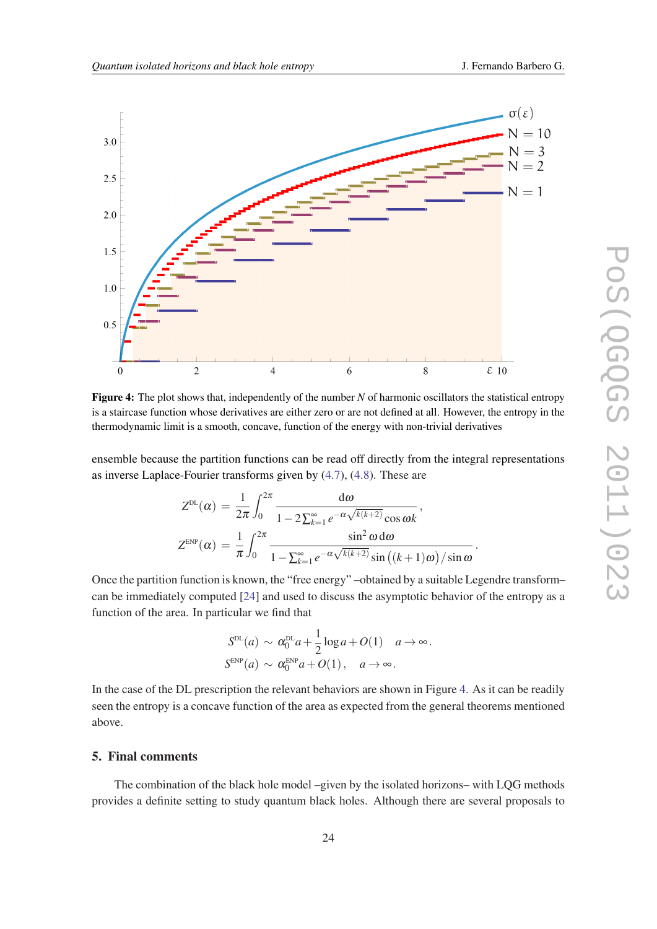<span id="page-23-0"></span>

Figure 4: The plot shows that, independently of the number *N* of harmonic oscillators the statistical entropy is a staircase function whose derivatives are either zero or are not defined at all. However, the entropy in the thermodynamic limit is a smooth, concave, function of the energy with non-trivial derivatives

ensemble because the partition functions can be read off directly from the integral representations as inverse Laplace-Fourier transforms given by ([4.7](#page-20-0)), [\(4.8\)](#page-20-0). These are

$$
Z^{\text{DL}}(\alpha) = \frac{1}{2\pi} \int_0^{2\pi} \frac{d\omega}{1 - 2\sum_{k=1}^{\infty} e^{-\alpha\sqrt{k(k+2)}} \cos \omega k},
$$
  

$$
Z^{\text{EMP}}(\alpha) = \frac{1}{\pi} \int_0^{2\pi} \frac{\sin^2 \omega \, d\omega}{1 - \sum_{k=1}^{\infty} e^{-\alpha\sqrt{k(k+2)}} \sin \left( (k+1)\omega \right) / \sin \omega}.
$$

Once the partition function is known, the "free energy" –obtained by a suitable Legendre transform– can be immediately computed [[24\]](#page-26-0) and used to discuss the asymptotic behavior of the entropy as a function of the area. In particular we find that

$$
S^{\text{DL}}(a) \sim \alpha_0^{\text{DL}} a + \frac{1}{2} \log a + O(1) \quad a \to \infty.
$$
  

$$
S^{\text{EMP}}(a) \sim \alpha_0^{\text{END}} a + O(1), \quad a \to \infty.
$$

In the case of the DL prescription the relevant behaviors are shown in Figure 4. As it can be readily seen the entropy is a concave function of the area as expected from the general theorems mentioned above.

# 5. Final comments

The combination of the black hole model –given by the isolated horizons– with LQG methods provides a definite setting to study quantum black holes. Although there are several proposals to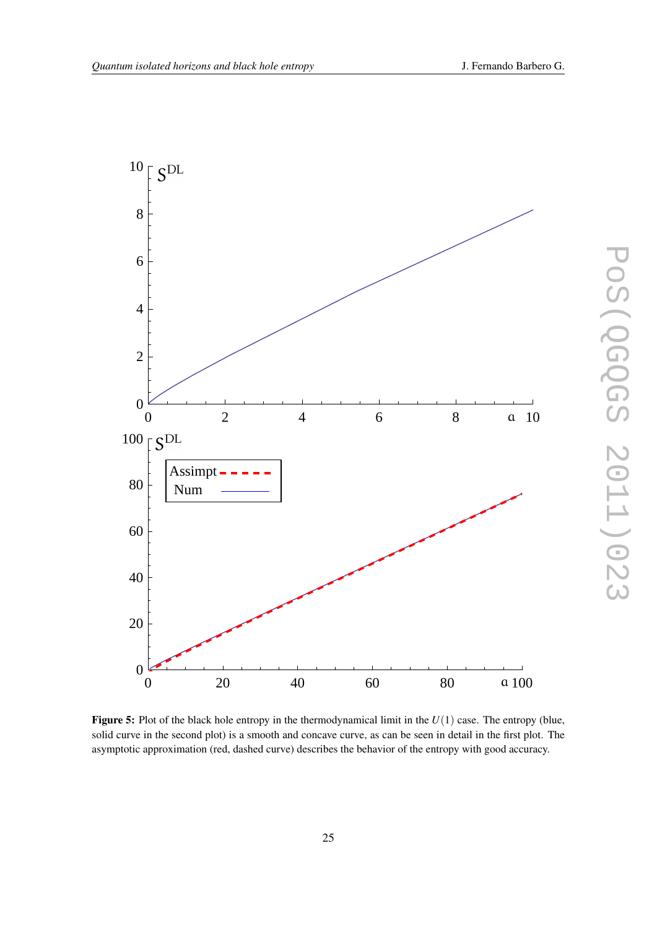



Figure 5: Plot of the black hole entropy in the thermodynamical limit in the *U*(1) case. The entropy (blue, solid curve in the second plot) is a smooth and concave curve, as can be seen in detail in the first plot. The asymptotic approximation (red, dashed curve) describes the behavior of the entropy with good accuracy.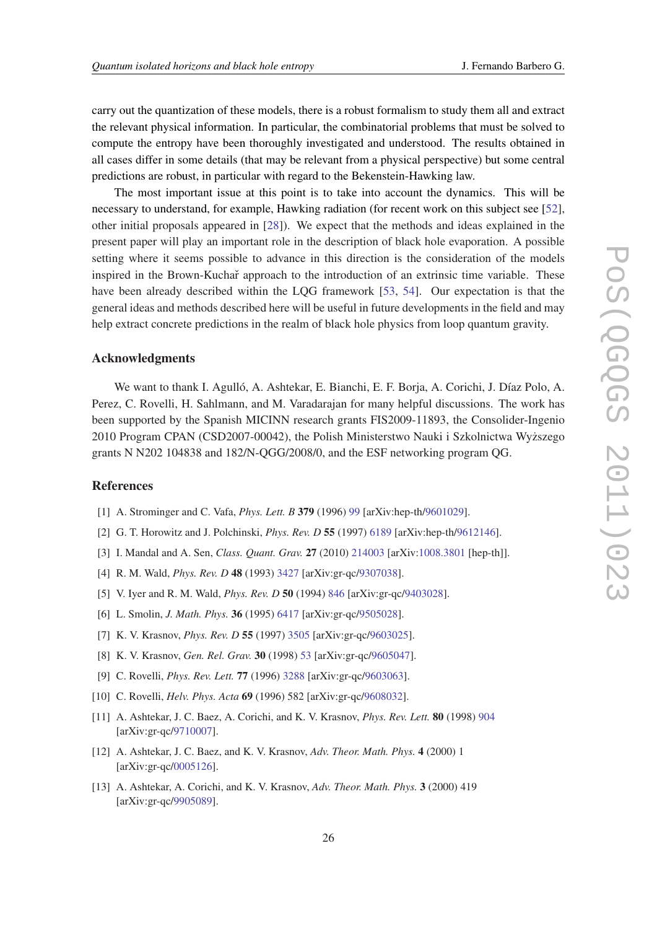<span id="page-25-0"></span>carry out the quantization of these models, there is a robust formalism to study them all and extract the relevant physical information. In particular, the combinatorial problems that must be solved to compute the entropy have been thoroughly investigated and understood. The results obtained in all cases differ in some details (that may be relevant from a physical perspective) but some central predictions are robust, in particular with regard to the Bekenstein-Hawking law.

The most important issue at this point is to take into account the dynamics. This will be necessary to understand, for example, Hawking radiation (for recent work on this subject see [[52\]](#page-27-0), other initial proposals appeared in [\[28](#page-26-0)]). We expect that the methods and ideas explained in the present paper will play an important role in the description of black hole evaporation. A possible setting where it seems possible to advance in this direction is the consideration of the models inspired in the Brown-Kuchař approach to the introduction of an extrinsic time variable. These have been already described within the LQG framework [\[53](#page-27-0), [54](#page-27-0)]. Our expectation is that the general ideas and methods described here will be useful in future developments in the field and may help extract concrete predictions in the realm of black hole physics from loop quantum gravity.

#### Acknowledgments

We want to thank I. Agulló, A. Ashtekar, E. Bianchi, E. F. Borja, A. Corichi, J. Díaz Polo, A. Perez, C. Rovelli, H. Sahlmann, and M. Varadarajan for many helpful discussions. The work has been supported by the Spanish MICINN research grants FIS2009-11893, the Consolider-Ingenio 2010 Program CPAN (CSD2007-00042), the Polish Ministerstwo Nauki i Szkolnictwa Wyzszego ˙ grants N N202 104838 and 182/N-QGG/2008/0, and the ESF networking program QG.

#### References

- [1] A. Strominger and C. Vafa, *Phys. Lett. B* 379 (1996) [99](http://www.sciencedirect.com/science/article/pii/0370269396003450) [arXiv:hep-th/[9601029](http://arxiv.org/abs/hep-th/9601029)].
- [2] G. T. Horowitz and J. Polchinski, *Phys. Rev. D* 55 (1997) [6189](http://link.aps.org/doi/10.1103/PhysRevD.55.6189) [arXiv:hep-th[/9612146](http://arxiv.org/abs/hep-th/9612146)].
- [3] I. Mandal and A. Sen, *Class. Quant. Grav.* 27 (2010) [214003](http://dx.doi.org/10.1088/0264-9381/27/21/214003) [arXiv:[1008.3801](http://arxiv.org/abs/1008.3801) [hep-th]].
- [4] R. M. Wald, *Phys. Rev. D* 48 (1993) [3427](http://link.aps.org/doi/10.1103/PhysRevD.48.R3427) [arXiv:gr-qc/[9307038\]](http://arxiv.org/abs/gr-qc/9307038).
- [5] V. Iyer and R. M. Wald, *Phys. Rev. D* 50 (1994) [846](http://link.aps.org/doi/10.1103/PhysRevD.50.846) [arXiv:gr-qc/[9403028\]](http://arxiv.org/abs/gr-qc/9403028).
- [6] L. Smolin, *J. Math. Phys.* 36 (1995) [6417](http://link.aip.org/link/doi/10.1063/1.531251) [arXiv:gr-qc/[9505028\]](http://arxiv.org/abs/gr-qc/9505028).
- [7] K. V. Krasnov, *Phys. Rev. D* 55 (1997) [3505](http://link.aps.org/doi/10.1103/PhysRevD.55.3505) [arXiv:gr-qc[/9603025](http://arxiv.org/abs/gr-qc/9603025)].
- [8] K. V. Krasnov, *Gen. Rel. Grav.* 30 (1998) [53](http://www.springerlink.com/content/lq752w1170147m0u/) [arXiv:gr-qc/[9605047\]](http://arxiv.org/abs/gr-qc/9605047).
- [9] C. Rovelli, *Phys. Rev. Lett.* 77 (1996) [3288](http://link.aps.org/doi/10.1103/PhysRevLett.77.3288) [arXiv:gr-qc/[9603063\]](http://arxiv.org/abs/gr-qc/9603063).
- [10] C. Rovelli, *Helv. Phys. Acta* 69 (1996) 582 [arXiv:gr-qc[/9608032](http://arxiv.org/abs/gr-qc/9608032)].
- [11] A. Ashtekar, J. C. Baez, A. Corichi, and K. V. Krasnov, *Phys. Rev. Lett.* 80 (1998) [904](http://link.aps.org/doi/10.1103/PhysRevLett.80.904) [arXiv:gr-qc[/9710007](http://arxiv.org/abs/gr-qc/9710007)].
- [12] A. Ashtekar, J. C. Baez, and K. V. Krasnov, *Adv. Theor. Math. Phys.* 4 (2000) 1 [arXiv:gr-qc[/0005126](http://arxiv.org/abs/gr-qc/0005126)].
- [13] A. Ashtekar, A. Corichi, and K. V. Krasnov, *Adv. Theor. Math. Phys.* 3 (2000) 419 [arXiv:gr-qc[/9905089](http://arxiv.org/abs/gr-qc/9905089)].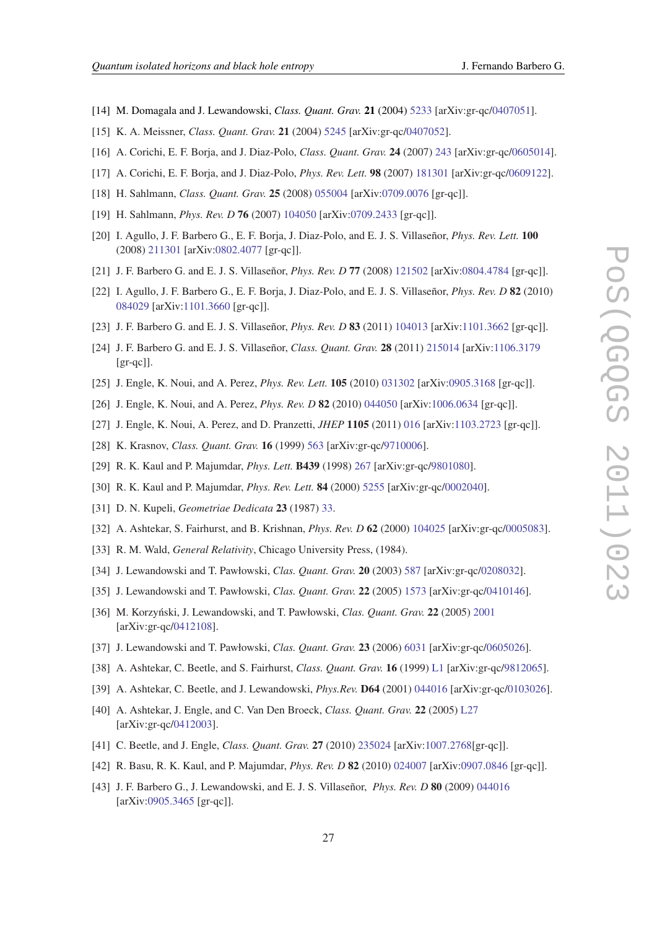- <span id="page-26-0"></span>[14] M. Domagala and J. Lewandowski, *Class. Quant. Grav.* 21 (2004) [5233](http://iopscience.iop.org/0264-9381/21/22/014/) [arXiv:gr-qc[/0407051](http://arxiv.org/abs/gr-qc/0407051)].
- [15] K. A. Meissner, *Class. Quant. Grav.* 21 (2004) [5245](http://iopscience.iop.org/0264-9381/21/22/015/) [arXiv:gr-qc[/0407052](http://arxiv.org/abs/gr-qc/0407052)].
- [16] A. Corichi, E. F. Borja, and J. Diaz-Polo, *Class. Quant. Grav.* 24 (2007) [243](http://iopscience.iop.org/0264-9381/24/1/013/) [arXiv:gr-qc[/0605014\]](http://arxiv.org/abs/gr-qc/0605014).
- [17] A. Corichi, E. F. Borja, and J. Diaz-Polo, *Phys. Rev. Lett.* 98 (2007) [181301](http://link.aps.org/doi/10.1103/PhysRevLett.98.181301) [arXiv:gr-qc[/0609122](http://arxiv.org/abs/gr-qc/0609122)].
- [18] H. Sahlmann, *Class. Quant. Grav.* 25 (2008) [055004](http://dx.doi.org/10.1088/0264-9381/25/5/055004) [arXiv[:0709.0076](http://arxiv.org/abs/0709.0076) [gr-qc]].
- [19] H. Sahlmann, *Phys. Rev. D* 76 (2007) [104050](http://link.aps.org/doi/10.1103/PhysRevD.76.104050) [arXiv:[0709.2433](http://arxiv.org/abs/0709.2433) [gr-qc]].
- [20] I. Agullo, J. F. Barbero G., E. F. Borja, J. Diaz-Polo, and E. J. S. Villaseñor, *Phys. Rev. Lett.* 100 (2008) [211301](http://link.aps.org/doi/10.1103/PhysRevLett.100.211301) [arXiv[:0802.4077](http://arxiv.org/abs/0802.4077) [gr-qc]].
- [21] J. F. Barbero G. and E. J. S. Villaseñor, *Phys. Rev. D* 77 (2008) [121502](http://link.aps.org/doi/10.1103/PhysRevD.77.121502) [arXiv:[0804.4784](http://arxiv.org/abs/0804.4784) [gr-qc]].
- [22] I. Agullo, J. F. Barbero G., E. F. Borja, J. Diaz-Polo, and E. J. S. Villaseñor, *Phys. Rev. D* 82 (2010) [084029](http://link.aps.org/doi/10.1103/PhysRevD.82.084029) [arXiv[:1101.3660](http://arxiv.org/abs/1101.3660) [gr-qc]].
- [23] J. F. Barbero G. and E. J. S. Villaseñor, *Phys. Rev. D* 83 (2011) [104013](http://link.aps.org/doi/10.1103/PhysRevD.83.104013) [arXiv:[1101.3662](http://arxiv.org/abs/1101.3662) [gr-qc]].
- [24] J. F. Barbero G. and E. J. S. Villaseñor, *Class. Quant. Grav.* 28 (2011) [215014](http://iopscience.iop.org/0264-9381/28/21/215014/) [arXiv[:1106.3179](http://arxiv.org/abs/1106.3179)  $\lceil \text{gr-qc} \rceil$ ].
- [25] J. Engle, K. Noui, and A. Perez, *Phys. Rev. Lett.* 105 (2010) [031302](http://link.aps.org/doi/10.1103/PhysRevLett.105.031302) [arXiv:[0905.3168](http://arxiv.org/abs/0905.3168) [gr-qc]].
- [26] J. Engle, K. Noui, and A. Perez, *Phys. Rev. D* 82 (2010) [044050](http://link.aps.org/doi/10.1103/PhysRevD.82.044050) [arXiv[:1006.0634](http://arxiv.org/abs/1006.0634) [gr-qc]].
- [27] J. Engle, K. Noui, A. Perez, and D. Pranzetti, *JHEP* 1105 (2011) [016](http://www.springerlink.com/content/g48jnn447636889v/) [arXiv:[1103.2723](http://arxiv.org/abs/1103.2723) [gr-qc]].
- [28] K. Krasnov, *Class. Quant. Grav.* 16 (1999) [563](http://dx.doi.org/10.1088/0264-9381/16/2/018) [arXiv:gr-qc[/9710006\]](http://arxiv.org/abs/gr-qc/9710006).
- [29] R. K. Kaul and P. Majumdar, *Phys. Lett.* B439 (1998) [267](http://dx.doi.org/10.1016/S0370-2693(98)01030-2) [arXiv:gr-qc/[9801080\]](http://arxiv.org/abs/gr-qc/9801080).
- [30] R. K. Kaul and P. Majumdar, *Phys. Rev. Lett.* 84 (2000) [5255](http://link.aps.org/doi/10.1103/PhysRevLett.84.5255) [arXiv:gr-qc[/0002040](http://arxiv.org/abs/gr-qc/0002040)].
- [31] D. N. Kupeli, *Geometriae Dedicata* 23 (1987) [33.](http://dx.doi.org/10.1007/BF00147389)
- [32] A. Ashtekar, S. Fairhurst, and B. Krishnan, *Phys. Rev. D* 62 (2000) [104025](http://link.aps.org/doi/10.1103/PhysRevD.62.104025) [arXiv:gr-qc[/0005083](http://arxiv.org/abs/gr-qc/0005083)].
- [33] R. M. Wald, *General Relativity*, Chicago University Press, (1984).
- [34] J. Lewandowski and T. Pawłowski, *Clas. Quant. Grav.* 20 (2003) [587](http://dx.doi.org/10.1088/0264-9381/20/4/303) [arXiv:gr-qc[/0208032\]](http://arxiv.org/abs/gr-qc/0208032).
- [35] J. Lewandowski and T. Pawłowski, *Clas. Quant. Grav.* 22 (2005) [1573](http://dx.doi.org/10.1088/0264-9381/22/9/007) [arXiv:gr-qc[/0410146\]](http://arxiv.org/abs/gr-qc/0410146).
- [36] M. Korzynski, J. Lewandowski, and T. Pawłowski, ´ *Clas. Quant. Grav.* 22 (2005) [2001](http://dx.doi.org/10.1088/0264-9381/22/11/006) [arXiv:gr-qc[/0412108](http://arxiv.org/abs/gr-qc/0412108)].
- [37] J. Lewandowski and T. Pawłowski, *Clas. Quant. Grav.* 23 (2006) [6031](http://dx.doi.org/10.1088/0264-9381/23/20/022) [arXiv:gr-qc[/0605026\]](http://arxiv.org/abs/gr-qc/0605026).
- [38] A. Ashtekar, C. Beetle, and S. Fairhurst, *Class. Quant. Grav.* 16 (1999) [L1](http://dx.doi.org/10.1088/0264-9381/16/2/027) [arXiv:gr-qc[/9812065\]](http://arxiv.org/abs/gr-qc/9812065).
- [39] A. Ashtekar, C. Beetle, and J. Lewandowski, *Phys.Rev.* D64 (2001) [044016](http://link.aps.org/doi/10.1103/PhysRevD.64.044016) [arXiv:gr-qc[/0103026](http://arxiv.org/abs/gr-qc/0103026)].
- [40] A. Ashtekar, J. Engle, and C. Van Den Broeck, *Class. Quant. Grav.* 22 (2005) [L27](http://dx.doi.org/10.1088/0264-9381/22/4/L02) [arXiv:gr-qc[/0412003](http://arxiv.org/abs/gr-qc/0412003)].
- [41] C. Beetle, and J. Engle, *Class. Quant. Grav.* 27 (2010) [235024](http://dx.doi.org/10.1088/0264-9381/27/23/235024) [arXiv[:1007.2768\[](http://arxiv.org/abs/1007.2768)gr-qc]].
- [42] R. Basu, R. K. Kaul, and P. Majumdar, *Phys. Rev. D* 82 (2010) [024007](http://link.aps.org/doi/10.1103/PhysRevD.82.024007) [arXiv:[0907.0846](http://xxx.unizar.es/abs/0907.0846) [gr-qc]].
- [43] J. F. Barbero G., J. Lewandowski, and E. J. S. Villaseñor, *Phys. Rev. D* 80 (2009) [044016](http://link.aps.org/doi/10.1103/PhysRevD.80.044016) [arXiv:[0905.3465](http://arxiv.org/abs/0905.3465) [gr-qc]].